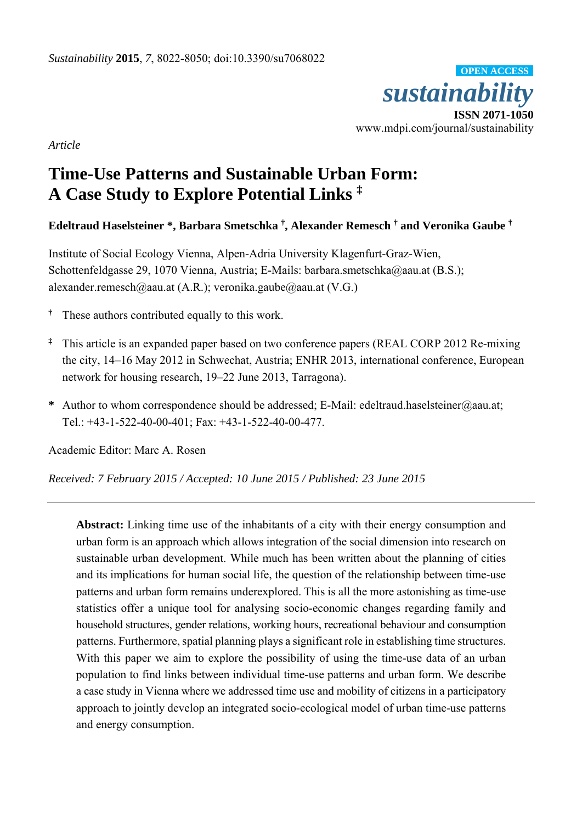

*Article* 

# **Time-Use Patterns and Sustainable Urban Form: A Case Study to Explore Potential Links ‡**

**Edeltraud Haselsteiner \*, Barbara Smetschka † , Alexander Remesch † and Veronika Gaube †**

Institute of Social Ecology Vienna, Alpen-Adria University Klagenfurt-Graz-Wien, Schottenfeldgasse 29, 1070 Vienna, Austria; E-Mails: barbara.smetschka@aau.at (B.S.); alexander.remesch@aau.at (A.R.); veronika.gaube@aau.at (V.G.)

- **†** These authors contributed equally to this work.
- **‡** This article is an expanded paper based on two conference papers (REAL CORP 2012 Re-mixing the city, 14–16 May 2012 in Schwechat, Austria; ENHR 2013, international conference, European network for housing research, 19–22 June 2013, Tarragona).
- **\*** Author to whom correspondence should be addressed; E-Mail: edeltraud.haselsteiner@aau.at; Tel.: +43-1-522-40-00-401; Fax: +43-1-522-40-00-477.

Academic Editor: Marc A. Rosen

*Received: 7 February 2015 / Accepted: 10 June 2015 / Published: 23 June 2015* 

**Abstract:** Linking time use of the inhabitants of a city with their energy consumption and urban form is an approach which allows integration of the social dimension into research on sustainable urban development. While much has been written about the planning of cities and its implications for human social life, the question of the relationship between time-use patterns and urban form remains underexplored. This is all the more astonishing as time-use statistics offer a unique tool for analysing socio-economic changes regarding family and household structures, gender relations, working hours, recreational behaviour and consumption patterns. Furthermore, spatial planning plays a significant role in establishing time structures. With this paper we aim to explore the possibility of using the time-use data of an urban population to find links between individual time-use patterns and urban form. We describe a case study in Vienna where we addressed time use and mobility of citizens in a participatory approach to jointly develop an integrated socio-ecological model of urban time-use patterns and energy consumption.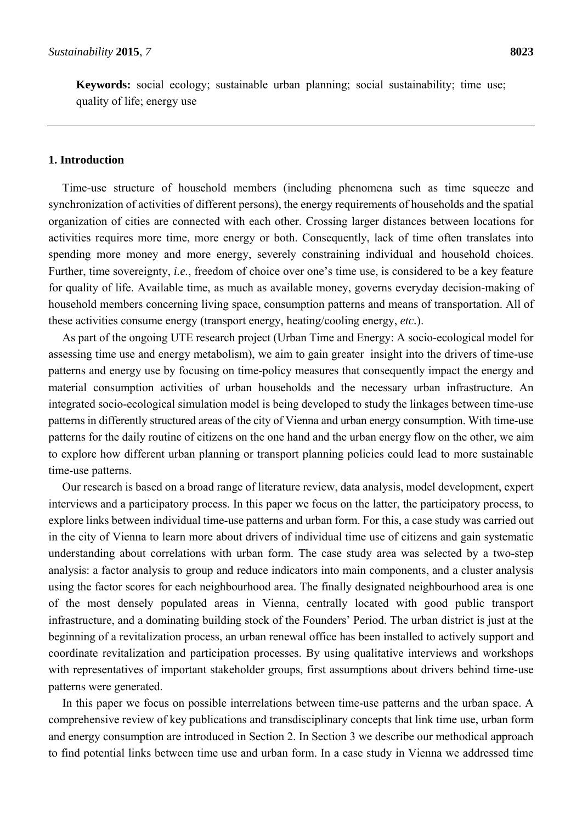**Keywords:** social ecology; sustainable urban planning; social sustainability; time use; quality of life; energy use

## **1. Introduction**

Time-use structure of household members (including phenomena such as time squeeze and synchronization of activities of different persons), the energy requirements of households and the spatial organization of cities are connected with each other. Crossing larger distances between locations for activities requires more time, more energy or both. Consequently, lack of time often translates into spending more money and more energy, severely constraining individual and household choices. Further, time sovereignty, *i.e.*, freedom of choice over one's time use, is considered to be a key feature for quality of life. Available time, as much as available money, governs everyday decision-making of household members concerning living space, consumption patterns and means of transportation. All of these activities consume energy (transport energy, heating/cooling energy, *etc.*).

As part of the ongoing UTE research project (Urban Time and Energy: A socio-ecological model for assessing time use and energy metabolism), we aim to gain greater insight into the drivers of time-use patterns and energy use by focusing on time-policy measures that consequently impact the energy and material consumption activities of urban households and the necessary urban infrastructure. An integrated socio-ecological simulation model is being developed to study the linkages between time-use patterns in differently structured areas of the city of Vienna and urban energy consumption. With time-use patterns for the daily routine of citizens on the one hand and the urban energy flow on the other, we aim to explore how different urban planning or transport planning policies could lead to more sustainable time-use patterns.

Our research is based on a broad range of literature review, data analysis, model development, expert interviews and a participatory process. In this paper we focus on the latter, the participatory process, to explore links between individual time-use patterns and urban form. For this, a case study was carried out in the city of Vienna to learn more about drivers of individual time use of citizens and gain systematic understanding about correlations with urban form. The case study area was selected by a two-step analysis: a factor analysis to group and reduce indicators into main components, and a cluster analysis using the factor scores for each neighbourhood area. The finally designated neighbourhood area is one of the most densely populated areas in Vienna, centrally located with good public transport infrastructure, and a dominating building stock of the Founders' Period. The urban district is just at the beginning of a revitalization process, an urban renewal office has been installed to actively support and coordinate revitalization and participation processes. By using qualitative interviews and workshops with representatives of important stakeholder groups, first assumptions about drivers behind time-use patterns were generated.

In this paper we focus on possible interrelations between time-use patterns and the urban space. A comprehensive review of key publications and transdisciplinary concepts that link time use, urban form and energy consumption are introduced in Section 2. In Section 3 we describe our methodical approach to find potential links between time use and urban form. In a case study in Vienna we addressed time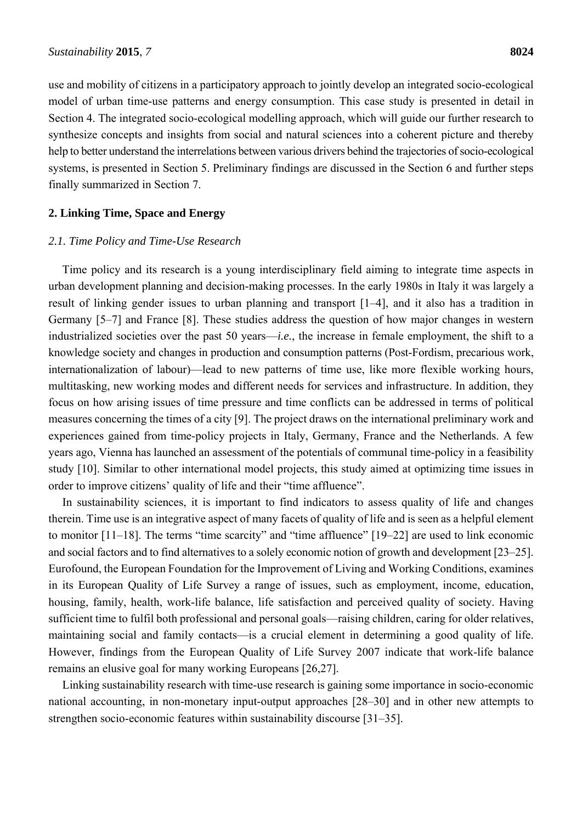use and mobility of citizens in a participatory approach to jointly develop an integrated socio-ecological model of urban time-use patterns and energy consumption. This case study is presented in detail in Section 4. The integrated socio-ecological modelling approach, which will guide our further research to synthesize concepts and insights from social and natural sciences into a coherent picture and thereby help to better understand the interrelations between various drivers behind the trajectories of socio-ecological systems, is presented in Section 5. Preliminary findings are discussed in the Section 6 and further steps finally summarized in Section 7.

## **2. Linking Time, Space and Energy**

#### *2.1. Time Policy and Time-Use Research*

Time policy and its research is a young interdisciplinary field aiming to integrate time aspects in urban development planning and decision-making processes. In the early 1980s in Italy it was largely a result of linking gender issues to urban planning and transport [1–4], and it also has a tradition in Germany [5–7] and France [8]. These studies address the question of how major changes in western industrialized societies over the past 50 years—*i.e.*, the increase in female employment, the shift to a knowledge society and changes in production and consumption patterns (Post-Fordism, precarious work, internationalization of labour)—lead to new patterns of time use, like more flexible working hours, multitasking, new working modes and different needs for services and infrastructure. In addition, they focus on how arising issues of time pressure and time conflicts can be addressed in terms of political measures concerning the times of a city [9]. The project draws on the international preliminary work and experiences gained from time-policy projects in Italy, Germany, France and the Netherlands. A few years ago, Vienna has launched an assessment of the potentials of communal time-policy in a feasibility study [10]. Similar to other international model projects, this study aimed at optimizing time issues in order to improve citizens' quality of life and their "time affluence".

In sustainability sciences, it is important to find indicators to assess quality of life and changes therein. Time use is an integrative aspect of many facets of quality of life and is seen as a helpful element to monitor [11–18]. The terms "time scarcity" and "time affluence" [19–22] are used to link economic and social factors and to find alternatives to a solely economic notion of growth and development [23–25]. Eurofound, the European Foundation for the Improvement of Living and Working Conditions, examines in its European Quality of Life Survey a range of issues, such as employment, income, education, housing, family, health, work-life balance, life satisfaction and perceived quality of society. Having sufficient time to fulfil both professional and personal goals—raising children, caring for older relatives, maintaining social and family contacts—is a crucial element in determining a good quality of life. However, findings from the European Quality of Life Survey 2007 indicate that work-life balance remains an elusive goal for many working Europeans [26,27].

Linking sustainability research with time-use research is gaining some importance in socio-economic national accounting, in non-monetary input-output approaches [28–30] and in other new attempts to strengthen socio-economic features within sustainability discourse [31–35].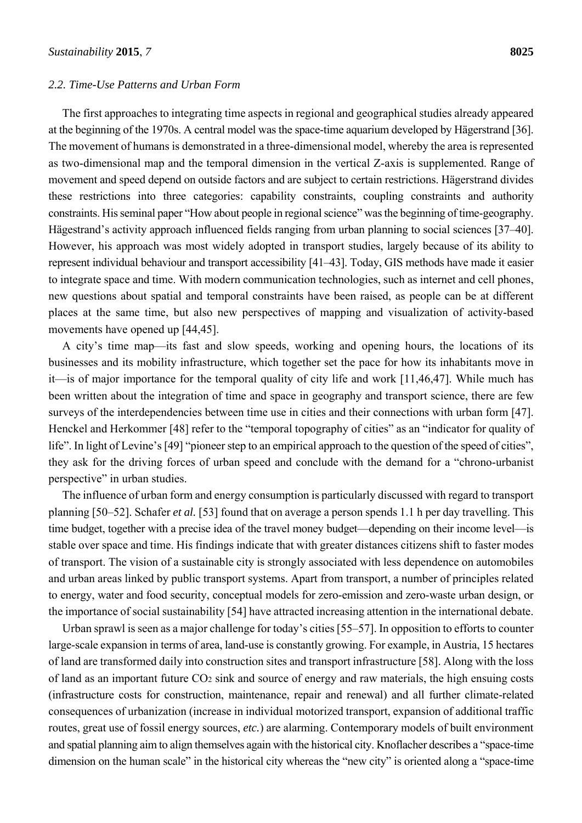#### *2.2. Time-Use Patterns and Urban Form*

The first approaches to integrating time aspects in regional and geographical studies already appeared at the beginning of the 1970s. A central model was the space-time aquarium developed by Hägerstrand [36]. The movement of humans is demonstrated in a three-dimensional model, whereby the area is represented as two-dimensional map and the temporal dimension in the vertical Z-axis is supplemented. Range of movement and speed depend on outside factors and are subject to certain restrictions. Hägerstrand divides these restrictions into three categories: capability constraints, coupling constraints and authority constraints. His seminal paper "How about people in regional science" was the beginning of time-geography. Hägestrand's activity approach influenced fields ranging from urban planning to social sciences [37–40]. However, his approach was most widely adopted in transport studies, largely because of its ability to represent individual behaviour and transport accessibility [41–43]. Today, GIS methods have made it easier to integrate space and time. With modern communication technologies, such as internet and cell phones, new questions about spatial and temporal constraints have been raised, as people can be at different places at the same time, but also new perspectives of mapping and visualization of activity-based movements have opened up [44,45].

A city's time map—its fast and slow speeds, working and opening hours, the locations of its businesses and its mobility infrastructure, which together set the pace for how its inhabitants move in it—is of major importance for the temporal quality of city life and work [11,46,47]. While much has been written about the integration of time and space in geography and transport science, there are few surveys of the interdependencies between time use in cities and their connections with urban form [47]. Henckel and Herkommer [48] refer to the "temporal topography of cities" as an "indicator for quality of life". In light of Levine's [49] "pioneer step to an empirical approach to the question of the speed of cities", they ask for the driving forces of urban speed and conclude with the demand for a "chrono-urbanist perspective" in urban studies.

The influence of urban form and energy consumption is particularly discussed with regard to transport planning [50–52]. Schafer *et al.* [53] found that on average a person spends 1.1 h per day travelling. This time budget, together with a precise idea of the travel money budget—depending on their income level—is stable over space and time. His findings indicate that with greater distances citizens shift to faster modes of transport. The vision of a sustainable city is strongly associated with less dependence on automobiles and urban areas linked by public transport systems. Apart from transport, a number of principles related to energy, water and food security, conceptual models for zero-emission and zero-waste urban design, or the importance of social sustainability [54] have attracted increasing attention in the international debate.

Urban sprawl is seen as a major challenge for today's cities [55–57]. In opposition to efforts to counter large-scale expansion in terms of area, land-use is constantly growing. For example, in Austria, 15 hectares of land are transformed daily into construction sites and transport infrastructure [58]. Along with the loss of land as an important future CO<sub>2</sub> sink and source of energy and raw materials, the high ensuing costs (infrastructure costs for construction, maintenance, repair and renewal) and all further climate-related consequences of urbanization (increase in individual motorized transport, expansion of additional traffic routes, great use of fossil energy sources, *etc.*) are alarming. Contemporary models of built environment and spatial planning aim to align themselves again with the historical city. Knoflacher describes a "space-time dimension on the human scale" in the historical city whereas the "new city" is oriented along a "space-time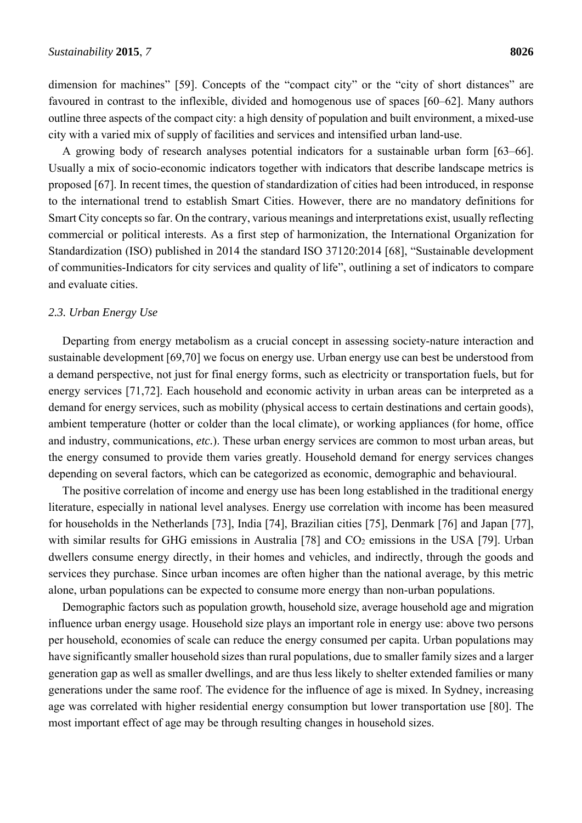dimension for machines" [59]. Concepts of the "compact city" or the "city of short distances" are favoured in contrast to the inflexible, divided and homogenous use of spaces [60–62]. Many authors outline three aspects of the compact city: a high density of population and built environment, a mixed-use city with a varied mix of supply of facilities and services and intensified urban land-use.

A growing body of research analyses potential indicators for a sustainable urban form [63–66]. Usually a mix of socio-economic indicators together with indicators that describe landscape metrics is proposed [67]. In recent times, the question of standardization of cities had been introduced, in response to the international trend to establish Smart Cities. However, there are no mandatory definitions for Smart City concepts so far. On the contrary, various meanings and interpretations exist, usually reflecting commercial or political interests. As a first step of harmonization, the International Organization for Standardization (ISO) published in 2014 the standard ISO 37120:2014 [68], "Sustainable development of communities-Indicators for city services and quality of life", outlining a set of indicators to compare and evaluate cities.

#### *2.3. Urban Energy Use*

Departing from energy metabolism as a crucial concept in assessing society-nature interaction and sustainable development [69,70] we focus on energy use. Urban energy use can best be understood from a demand perspective, not just for final energy forms, such as electricity or transportation fuels, but for energy services [71,72]. Each household and economic activity in urban areas can be interpreted as a demand for energy services, such as mobility (physical access to certain destinations and certain goods), ambient temperature (hotter or colder than the local climate), or working appliances (for home, office and industry, communications, *etc.*). These urban energy services are common to most urban areas, but the energy consumed to provide them varies greatly. Household demand for energy services changes depending on several factors, which can be categorized as economic, demographic and behavioural.

The positive correlation of income and energy use has been long established in the traditional energy literature, especially in national level analyses. Energy use correlation with income has been measured for households in the Netherlands [73], India [74], Brazilian cities [75], Denmark [76] and Japan [77], with similar results for GHG emissions in Australia  $[78]$  and  $CO<sub>2</sub>$  emissions in the USA  $[79]$ . Urban dwellers consume energy directly, in their homes and vehicles, and indirectly, through the goods and services they purchase. Since urban incomes are often higher than the national average, by this metric alone, urban populations can be expected to consume more energy than non-urban populations.

Demographic factors such as population growth, household size, average household age and migration influence urban energy usage. Household size plays an important role in energy use: above two persons per household, economies of scale can reduce the energy consumed per capita. Urban populations may have significantly smaller household sizes than rural populations, due to smaller family sizes and a larger generation gap as well as smaller dwellings, and are thus less likely to shelter extended families or many generations under the same roof. The evidence for the influence of age is mixed. In Sydney, increasing age was correlated with higher residential energy consumption but lower transportation use [80]. The most important effect of age may be through resulting changes in household sizes.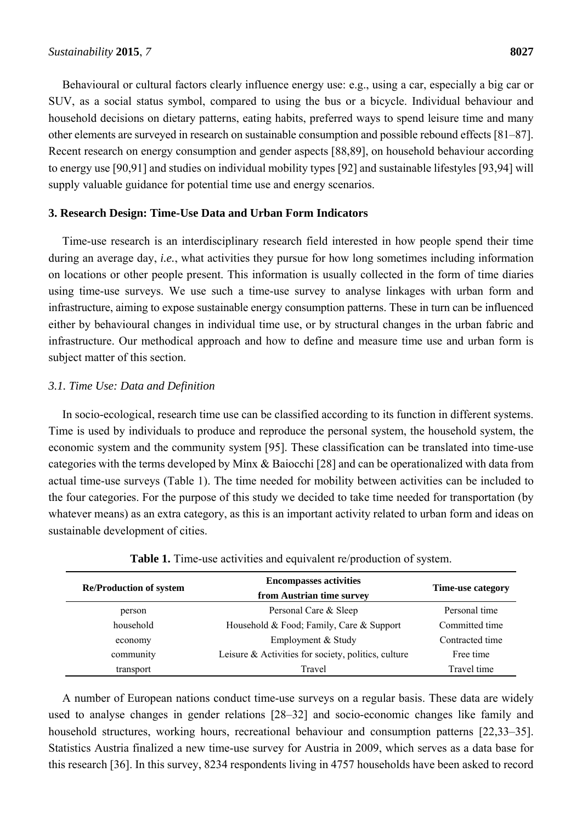Behavioural or cultural factors clearly influence energy use: e.g., using a car, especially a big car or SUV, as a social status symbol, compared to using the bus or a bicycle. Individual behaviour and household decisions on dietary patterns, eating habits, preferred ways to spend leisure time and many other elements are surveyed in research on sustainable consumption and possible rebound effects [81–87]. Recent research on energy consumption and gender aspects [88,89], on household behaviour according to energy use [90,91] and studies on individual mobility types [92] and sustainable lifestyles [93,94] will supply valuable guidance for potential time use and energy scenarios.

## **3. Research Design: Time-Use Data and Urban Form Indicators**

Time-use research is an interdisciplinary research field interested in how people spend their time during an average day, *i.e.*, what activities they pursue for how long sometimes including information on locations or other people present. This information is usually collected in the form of time diaries using time-use surveys. We use such a time-use survey to analyse linkages with urban form and infrastructure, aiming to expose sustainable energy consumption patterns. These in turn can be influenced either by behavioural changes in individual time use, or by structural changes in the urban fabric and infrastructure. Our methodical approach and how to define and measure time use and urban form is subject matter of this section.

## *3.1. Time Use: Data and Definition*

In socio-ecological, research time use can be classified according to its function in different systems. Time is used by individuals to produce and reproduce the personal system, the household system, the economic system and the community system [95]. These classification can be translated into time-use categories with the terms developed by Minx & Baiocchi [28] and can be operationalized with data from actual time-use surveys (Table 1). The time needed for mobility between activities can be included to the four categories. For the purpose of this study we decided to take time needed for transportation (by whatever means) as an extra category, as this is an important activity related to urban form and ideas on sustainable development of cities.

| <b>Re/Production of system</b> | <b>Encompasses activities</b><br>from Austrian time survey | Time-use category |
|--------------------------------|------------------------------------------------------------|-------------------|
| person                         | Personal Care & Sleep                                      | Personal time     |
| household                      | Household & Food; Family, Care & Support                   | Committed time    |
| economy                        | Employment & Study                                         | Contracted time   |
| community                      | Leisure & Activities for society, politics, culture        | Free time         |
| transport                      | Travel                                                     | Travel time       |

**Table 1.** Time-use activities and equivalent re/production of system.

A number of European nations conduct time-use surveys on a regular basis. These data are widely used to analyse changes in gender relations [28–32] and socio-economic changes like family and household structures, working hours, recreational behaviour and consumption patterns [22,33–35]. Statistics Austria finalized a new time-use survey for Austria in 2009, which serves as a data base for this research [36]. In this survey, 8234 respondents living in 4757 households have been asked to record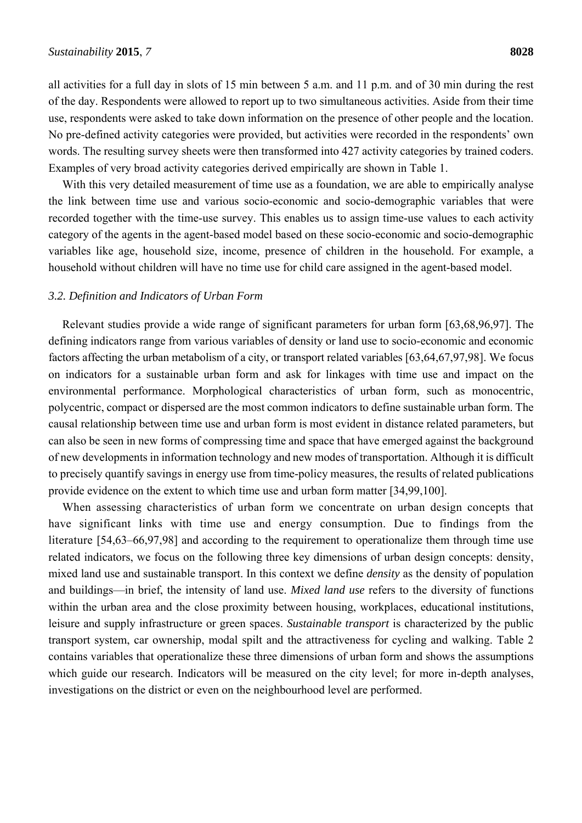all activities for a full day in slots of 15 min between 5 a.m. and 11 p.m. and of 30 min during the rest of the day. Respondents were allowed to report up to two simultaneous activities. Aside from their time use, respondents were asked to take down information on the presence of other people and the location. No pre-defined activity categories were provided, but activities were recorded in the respondents' own words. The resulting survey sheets were then transformed into 427 activity categories by trained coders. Examples of very broad activity categories derived empirically are shown in Table 1.

With this very detailed measurement of time use as a foundation, we are able to empirically analyse the link between time use and various socio-economic and socio-demographic variables that were recorded together with the time-use survey. This enables us to assign time-use values to each activity category of the agents in the agent-based model based on these socio-economic and socio-demographic variables like age, household size, income, presence of children in the household. For example, a household without children will have no time use for child care assigned in the agent-based model.

#### *3.2. Definition and Indicators of Urban Form*

Relevant studies provide a wide range of significant parameters for urban form [63,68,96,97]. The defining indicators range from various variables of density or land use to socio-economic and economic factors affecting the urban metabolism of a city, or transport related variables [63,64,67,97,98]. We focus on indicators for a sustainable urban form and ask for linkages with time use and impact on the environmental performance. Morphological characteristics of urban form, such as monocentric, polycentric, compact or dispersed are the most common indicators to define sustainable urban form. The causal relationship between time use and urban form is most evident in distance related parameters, but can also be seen in new forms of compressing time and space that have emerged against the background of new developments in information technology and new modes of transportation. Although it is difficult to precisely quantify savings in energy use from time-policy measures, the results of related publications provide evidence on the extent to which time use and urban form matter [34,99,100].

When assessing characteristics of urban form we concentrate on urban design concepts that have significant links with time use and energy consumption. Due to findings from the literature [54,63–66,97,98] and according to the requirement to operationalize them through time use related indicators, we focus on the following three key dimensions of urban design concepts: density, mixed land use and sustainable transport. In this context we define *density* as the density of population and buildings—in brief, the intensity of land use. *Mixed land use* refers to the diversity of functions within the urban area and the close proximity between housing, workplaces, educational institutions, leisure and supply infrastructure or green spaces. *Sustainable transport* is characterized by the public transport system, car ownership, modal spilt and the attractiveness for cycling and walking. Table 2 contains variables that operationalize these three dimensions of urban form and shows the assumptions which guide our research. Indicators will be measured on the city level; for more in-depth analyses, investigations on the district or even on the neighbourhood level are performed.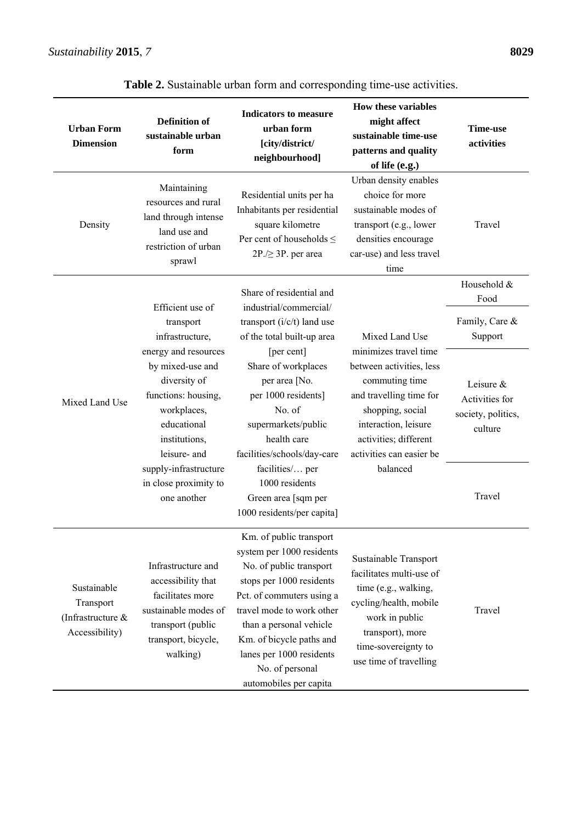| <b>Urban Form</b><br><b>Dimension</b>                           | <b>Definition of</b><br>sustainable urban<br>form                                                                                              | <b>Indicators to measure</b><br>urban form<br>[city/district/<br>neighbourhood]                                                                                                                                                                                                                       | <b>How these variables</b><br>might affect<br>sustainable time-use<br>patterns and quality<br>of life (e.g.)                                                                                                | <b>Time-use</b><br>activities                                |
|-----------------------------------------------------------------|------------------------------------------------------------------------------------------------------------------------------------------------|-------------------------------------------------------------------------------------------------------------------------------------------------------------------------------------------------------------------------------------------------------------------------------------------------------|-------------------------------------------------------------------------------------------------------------------------------------------------------------------------------------------------------------|--------------------------------------------------------------|
| Density                                                         | Maintaining<br>resources and rural<br>land through intense<br>land use and<br>restriction of urban<br>sprawl                                   | Residential units per ha<br>Inhabitants per residential<br>square kilometre<br>Per cent of households $\leq$<br>$2P$ ./ $\geq$ 3P. per area                                                                                                                                                           | Urban density enables<br>choice for more<br>sustainable modes of<br>transport (e.g., lower<br>densities encourage<br>car-use) and less travel<br>time                                                       | Travel                                                       |
|                                                                 |                                                                                                                                                | Share of residential and                                                                                                                                                                                                                                                                              |                                                                                                                                                                                                             | Household &<br>Food                                          |
|                                                                 | Efficient use of<br>transport<br>infrastructure,                                                                                               | industrial/commercial/<br>transport $(i/c/t)$ land use<br>of the total built-up area                                                                                                                                                                                                                  | Mixed Land Use                                                                                                                                                                                              | Family, Care &<br>Support                                    |
| Mixed Land Use                                                  | energy and resources<br>by mixed-use and<br>diversity of<br>functions: housing,<br>workplaces,<br>educational<br>institutions,<br>leisure- and | [per cent]<br>Share of workplaces<br>per area [No.<br>per 1000 residents]<br>No. of<br>supermarkets/public<br>health care<br>facilities/schools/day-care                                                                                                                                              | minimizes travel time<br>between activities, less<br>commuting time<br>and travelling time for<br>shopping, social<br>interaction, leisure<br>activities; different<br>activities can easier be<br>balanced | Leisure &<br>Activities for<br>society, politics,<br>culture |
|                                                                 | supply-infrastructure<br>in close proximity to<br>one another                                                                                  | facilities/ per<br>1000 residents<br>Green area [sqm per<br>1000 residents/per capita]                                                                                                                                                                                                                |                                                                                                                                                                                                             | Travel                                                       |
| Sustainable<br>Transport<br>(Infrastructure &<br>Accessibility) | Infrastructure and<br>accessibility that<br>facilitates more<br>sustainable modes of<br>transport (public<br>transport, bicycle,<br>walking)   | Km. of public transport<br>system per 1000 residents<br>No. of public transport<br>stops per 1000 residents<br>Pct. of commuters using a<br>travel mode to work other<br>than a personal vehicle<br>Km. of bicycle paths and<br>lanes per 1000 residents<br>No. of personal<br>automobiles per capita | Sustainable Transport<br>facilitates multi-use of<br>time (e.g., walking,<br>cycling/health, mobile<br>work in public<br>transport), more<br>time-sovereignty to<br>use time of travelling                  | Travel                                                       |

**Table 2.** Sustainable urban form and corresponding time-use activities.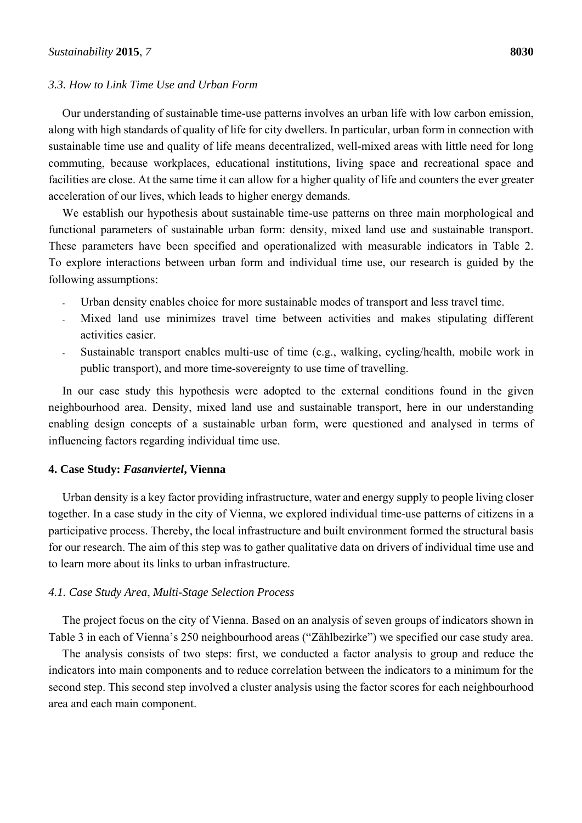## *3.3. How to Link Time Use and Urban Form*

Our understanding of sustainable time-use patterns involves an urban life with low carbon emission, along with high standards of quality of life for city dwellers. In particular, urban form in connection with sustainable time use and quality of life means decentralized, well-mixed areas with little need for long commuting, because workplaces, educational institutions, living space and recreational space and facilities are close. At the same time it can allow for a higher quality of life and counters the ever greater acceleration of our lives, which leads to higher energy demands.

We establish our hypothesis about sustainable time-use patterns on three main morphological and functional parameters of sustainable urban form: density, mixed land use and sustainable transport. These parameters have been specified and operationalized with measurable indicators in Table 2. To explore interactions between urban form and individual time use, our research is guided by the following assumptions:

- Urban density enables choice for more sustainable modes of transport and less travel time.
- Mixed land use minimizes travel time between activities and makes stipulating different activities easier.
- Sustainable transport enables multi-use of time (e.g., walking, cycling/health, mobile work in public transport), and more time-sovereignty to use time of travelling.

In our case study this hypothesis were adopted to the external conditions found in the given neighbourhood area. Density, mixed land use and sustainable transport, here in our understanding enabling design concepts of a sustainable urban form, were questioned and analysed in terms of influencing factors regarding individual time use.

#### **4. Case Study:** *Fasanviertel***, Vienna**

Urban density is a key factor providing infrastructure, water and energy supply to people living closer together. In a case study in the city of Vienna, we explored individual time-use patterns of citizens in a participative process. Thereby, the local infrastructure and built environment formed the structural basis for our research. The aim of this step was to gather qualitative data on drivers of individual time use and to learn more about its links to urban infrastructure.

#### *4.1. Case Study Area*, *Multi-Stage Selection Process*

The project focus on the city of Vienna. Based on an analysis of seven groups of indicators shown in Table 3 in each of Vienna's 250 neighbourhood areas ("Zählbezirke") we specified our case study area.

The analysis consists of two steps: first, we conducted a factor analysis to group and reduce the indicators into main components and to reduce correlation between the indicators to a minimum for the second step. This second step involved a cluster analysis using the factor scores for each neighbourhood area and each main component.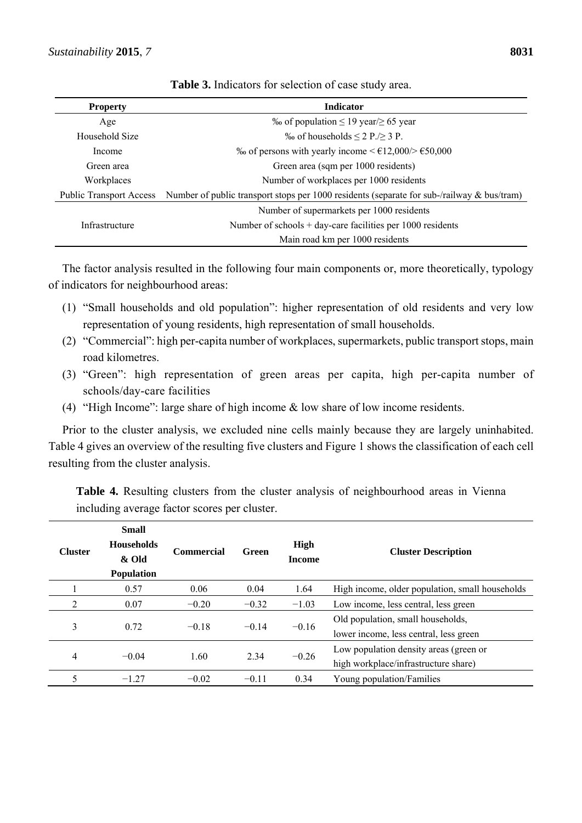| <b>Property</b>                | <b>Indicator</b>                                                                              |
|--------------------------------|-----------------------------------------------------------------------------------------------|
| Age                            | ‰ of population $\leq$ 19 year/ $\geq$ 65 year                                                |
| Household Size                 | ‰ of households $\leq$ 2 P./ $\geq$ 3 P.                                                      |
| Income                         | ‰ of persons with yearly income <€12,000/> $\epsilon$ 50,000                                  |
| Green area                     | Green area (sqm per 1000 residents)                                                           |
| Workplaces                     | Number of workplaces per 1000 residents                                                       |
| <b>Public Transport Access</b> | Number of public transport stops per 1000 residents (separate for sub-/railway $\&$ bus/tram) |
|                                | Number of supermarkets per 1000 residents                                                     |
| Infrastructure                 | Number of schools $+$ day-care facilities per 1000 residents                                  |
|                                | Main road km per 1000 residents                                                               |

**Table 3.** Indicators for selection of case study area.

The factor analysis resulted in the following four main components or, more theoretically, typology of indicators for neighbourhood areas:

- (1) "Small households and old population": higher representation of old residents and very low representation of young residents, high representation of small households.
- (2) "Commercial": high per-capita number of workplaces, supermarkets, public transport stops, main road kilometres.
- (3) "Green": high representation of green areas per capita, high per-capita number of schools/day-care facilities
- (4) "High Income": large share of high income  $\&$  low share of low income residents.

Prior to the cluster analysis, we excluded nine cells mainly because they are largely uninhabited. Table 4 gives an overview of the resulting five clusters and Figure 1 shows the classification of each cell resulting from the cluster analysis.

**Table 4.** Resulting clusters from the cluster analysis of neighbourhood areas in Vienna including average factor scores per cluster.

| <b>Cluster</b> | <b>Small</b><br><b>Households</b><br>& Old<br><b>Population</b> | <b>Commercial</b> | Green   | High<br><b>Income</b> | <b>Cluster Description</b>                                                     |
|----------------|-----------------------------------------------------------------|-------------------|---------|-----------------------|--------------------------------------------------------------------------------|
|                | 0.57                                                            | 0.06              | 0.04    | 1.64                  | High income, older population, small households                                |
| 2              | 0.07                                                            | $-0.20$           | $-0.32$ | $-1.03$               | Low income, less central, less green                                           |
| 3              | 0.72                                                            | $-0.18$           | $-0.14$ | $-0.16$               | Old population, small households,<br>lower income, less central, less green    |
| 4              | $-0.04$                                                         | 1.60              | 2.34    | $-0.26$               | Low population density areas (green or<br>high workplace/infrastructure share) |
|                | $-1.27$                                                         | $-0.02$           | $-0.11$ | 0.34                  | Young population/Families                                                      |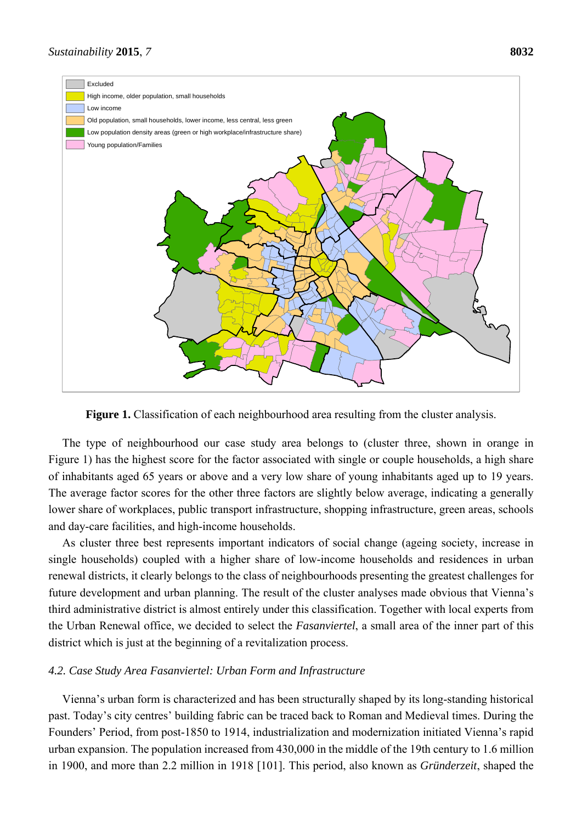

**Figure 1.** Classification of each neighbourhood area resulting from the cluster analysis.

The type of neighbourhood our case study area belongs to (cluster three, shown in orange in Figure 1) has the highest score for the factor associated with single or couple households, a high share of inhabitants aged 65 years or above and a very low share of young inhabitants aged up to 19 years. The average factor scores for the other three factors are slightly below average, indicating a generally lower share of workplaces, public transport infrastructure, shopping infrastructure, green areas, schools and day-care facilities, and high-income households.

As cluster three best represents important indicators of social change (ageing society, increase in single households) coupled with a higher share of low-income households and residences in urban renewal districts, it clearly belongs to the class of neighbourhoods presenting the greatest challenges for future development and urban planning. The result of the cluster analyses made obvious that Vienna's third administrative district is almost entirely under this classification. Together with local experts from the Urban Renewal office, we decided to select the *Fasanviertel*, a small area of the inner part of this district which is just at the beginning of a revitalization process.

## *4.2. Case Study Area Fasanviertel: Urban Form and Infrastructure*

Vienna's urban form is characterized and has been structurally shaped by its long-standing historical past. Today's city centres' building fabric can be traced back to Roman and Medieval times. During the Founders' Period, from post-1850 to 1914, industrialization and modernization initiated Vienna's rapid urban expansion. The population increased from 430,000 in the middle of the 19th century to 1.6 million in 1900, and more than 2.2 million in 1918 [101]. This period, also known as *Gründerzeit*, shaped the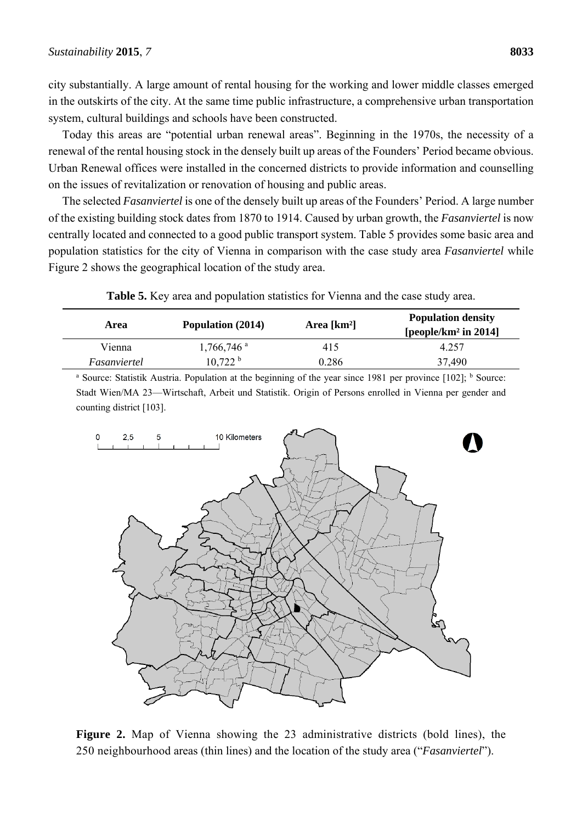city substantially. A large amount of rental housing for the working and lower middle classes emerged in the outskirts of the city. At the same time public infrastructure, a comprehensive urban transportation system, cultural buildings and schools have been constructed.

Today this areas are "potential urban renewal areas". Beginning in the 1970s, the necessity of a renewal of the rental housing stock in the densely built up areas of the Founders' Period became obvious. Urban Renewal offices were installed in the concerned districts to provide information and counselling on the issues of revitalization or renovation of housing and public areas.

The selected *Fasanviertel* is one of the densely built up areas of the Founders' Period. A large number of the existing building stock dates from 1870 to 1914. Caused by urban growth, the *Fasanviertel* is now centrally located and connected to a good public transport system. Table 5 provides some basic area and population statistics for the city of Vienna in comparison with the case study area *Fasanviertel* while Figure 2 shows the geographical location of the study area.

|  | <b>Table 5.</b> Key area and population statistics for Vienna and the case study area. |  |
|--|----------------------------------------------------------------------------------------|--|
|--|----------------------------------------------------------------------------------------|--|

| Area         | Population (2014)        | Area $[km^2]$ | <b>Population density</b><br>[people/km <sup>2</sup> in 2014] |
|--------------|--------------------------|---------------|---------------------------------------------------------------|
| Vienna       | $1,766,746$ <sup>a</sup> | 415           | 4.257                                                         |
| Fasanviertel | 10,722 h                 | 0.286         | 37,490                                                        |

<sup>a</sup> Source: Statistik Austria. Population at the beginning of the year since 1981 per province [102]; <sup>b</sup> Source: Stadt Wien/MA 23—Wirtschaft, Arbeit und Statistik. Origin of Persons enrolled in Vienna per gender and counting district [103].



**Figure 2.** Map of Vienna showing the 23 administrative districts (bold lines), the 250 neighbourhood areas (thin lines) and the location of the study area ("*Fasanviertel*").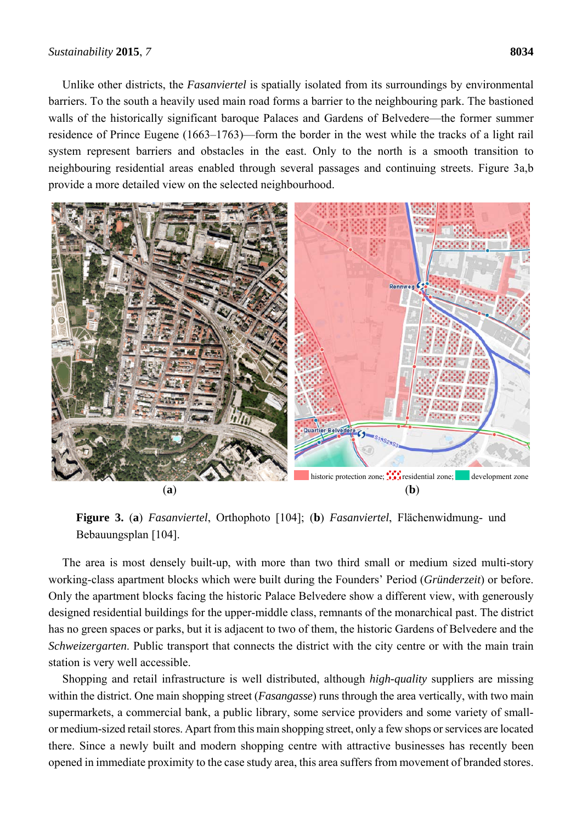Unlike other districts, the *Fasanviertel* is spatially isolated from its surroundings by environmental barriers. To the south a heavily used main road forms a barrier to the neighbouring park. The bastioned walls of the historically significant baroque Palaces and Gardens of Belvedere—the former summer residence of Prince Eugene (1663–1763)—form the border in the west while the tracks of a light rail system represent barriers and obstacles in the east. Only to the north is a smooth transition to neighbouring residential areas enabled through several passages and continuing streets. Figure 3a,b provide a more detailed view on the selected neighbourhood.



**Figure 3.** (**a**) *Fasanviertel*, Orthophoto [104]; (**b**) *Fasanviertel*, Flächenwidmung- und Bebauungsplan [104].

The area is most densely built-up, with more than two third small or medium sized multi-story working-class apartment blocks which were built during the Founders' Period (*Gründerzeit*) or before. Only the apartment blocks facing the historic Palace Belvedere show a different view, with generously designed residential buildings for the upper-middle class, remnants of the monarchical past. The district has no green spaces or parks, but it is adjacent to two of them, the historic Gardens of Belvedere and the *Schweizergarten*. Public transport that connects the district with the city centre or with the main train station is very well accessible.

Shopping and retail infrastructure is well distributed, although *high-quality* suppliers are missing within the district. One main shopping street (*Fasangasse*) runs through the area vertically, with two main supermarkets, a commercial bank, a public library, some service providers and some variety of smallor medium-sized retail stores. Apart from this main shopping street, only a few shops or services are located there. Since a newly built and modern shopping centre with attractive businesses has recently been opened in immediate proximity to the case study area, this area suffers from movement of branded stores.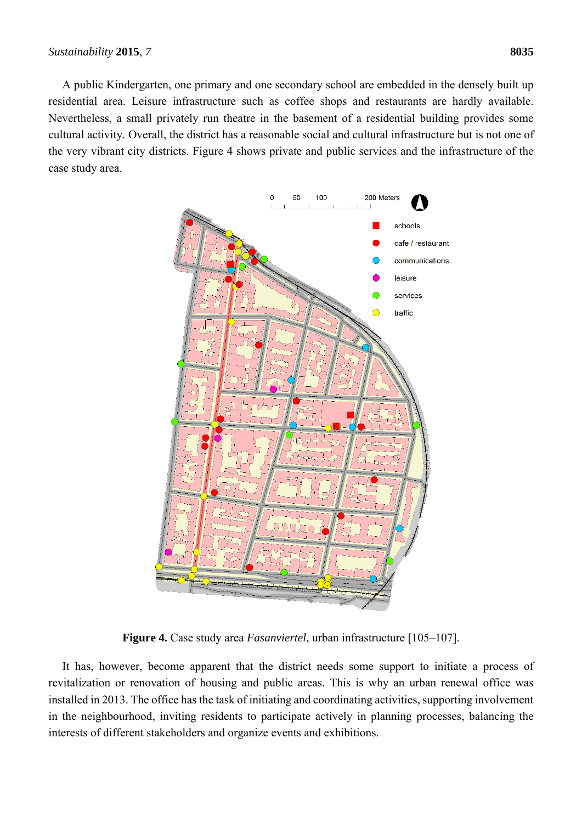A public Kindergarten, one primary and one secondary school are embedded in the densely built up residential area. Leisure infrastructure such as coffee shops and restaurants are hardly available. Nevertheless, a small privately run theatre in the basement of a residential building provides some cultural activity. Overall, the district has a reasonable social and cultural infrastructure but is not one of the very vibrant city districts. Figure 4 shows private and public services and the infrastructure of the case study area.



**Figure 4.** Case study area *Fasanviertel*, urban infrastructure [105–107].

It has, however, become apparent that the district needs some support to initiate a process of revitalization or renovation of housing and public areas. This is why an urban renewal office was installed in 2013. The office has the task of initiating and coordinating activities, supporting involvement in the neighbourhood, inviting residents to participate actively in planning processes, balancing the interests of different stakeholders and organize events and exhibitions.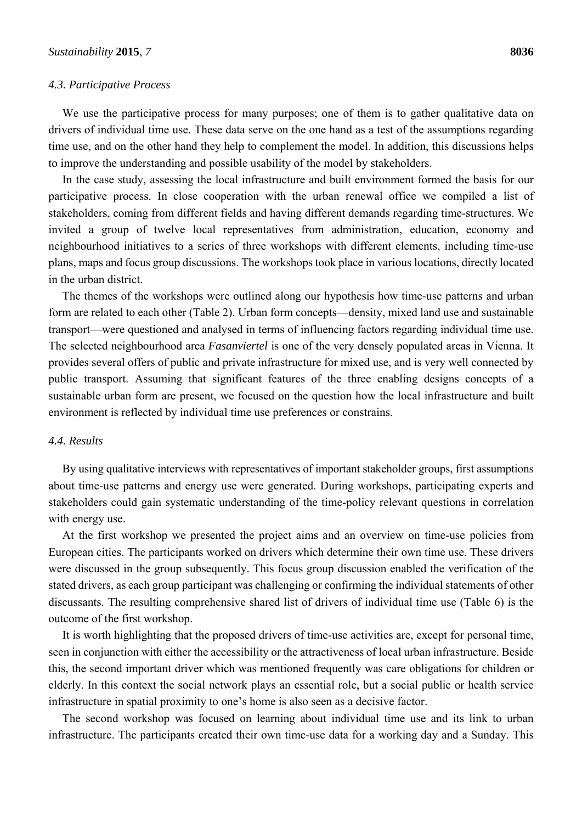#### *4.3. Participative Process*

We use the participative process for many purposes; one of them is to gather qualitative data on drivers of individual time use. These data serve on the one hand as a test of the assumptions regarding time use, and on the other hand they help to complement the model. In addition, this discussions helps to improve the understanding and possible usability of the model by stakeholders.

In the case study, assessing the local infrastructure and built environment formed the basis for our participative process. In close cooperation with the urban renewal office we compiled a list of stakeholders, coming from different fields and having different demands regarding time-structures. We invited a group of twelve local representatives from administration, education, economy and neighbourhood initiatives to a series of three workshops with different elements, including time-use plans, maps and focus group discussions. The workshops took place in various locations, directly located in the urban district.

The themes of the workshops were outlined along our hypothesis how time-use patterns and urban form are related to each other (Table 2). Urban form concepts—density, mixed land use and sustainable transport—were questioned and analysed in terms of influencing factors regarding individual time use. The selected neighbourhood area *Fasanviertel* is one of the very densely populated areas in Vienna. It provides several offers of public and private infrastructure for mixed use, and is very well connected by public transport. Assuming that significant features of the three enabling designs concepts of a sustainable urban form are present, we focused on the question how the local infrastructure and built environment is reflected by individual time use preferences or constrains.

#### *4.4. Results*

By using qualitative interviews with representatives of important stakeholder groups, first assumptions about time-use patterns and energy use were generated. During workshops, participating experts and stakeholders could gain systematic understanding of the time-policy relevant questions in correlation with energy use.

At the first workshop we presented the project aims and an overview on time-use policies from European cities. The participants worked on drivers which determine their own time use. These drivers were discussed in the group subsequently. This focus group discussion enabled the verification of the stated drivers, as each group participant was challenging or confirming the individual statements of other discussants. The resulting comprehensive shared list of drivers of individual time use (Table 6) is the outcome of the first workshop.

It is worth highlighting that the proposed drivers of time-use activities are, except for personal time, seen in conjunction with either the accessibility or the attractiveness of local urban infrastructure. Beside this, the second important driver which was mentioned frequently was care obligations for children or elderly. In this context the social network plays an essential role, but a social public or health service infrastructure in spatial proximity to one's home is also seen as a decisive factor.

The second workshop was focused on learning about individual time use and its link to urban infrastructure. The participants created their own time-use data for a working day and a Sunday. This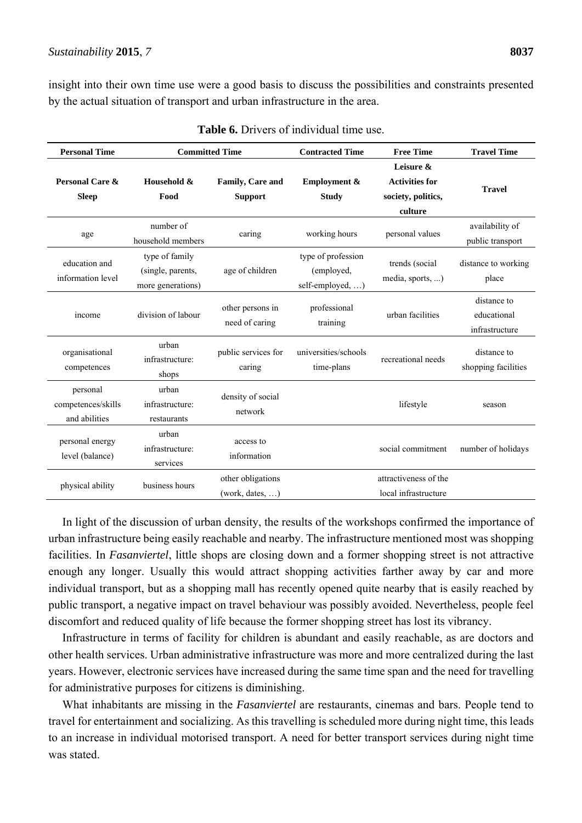insight into their own time use were a good basis to discuss the possibilities and constraints presented by the actual situation of transport and urban infrastructure in the area.

| <b>Personal Time</b><br><b>Committed Time</b>   |                                                          | <b>Contracted Time</b>               | <b>Free Time</b>                                     | <b>Travel Time</b>                                                  |                                              |
|-------------------------------------------------|----------------------------------------------------------|--------------------------------------|------------------------------------------------------|---------------------------------------------------------------------|----------------------------------------------|
| Personal Care &<br><b>Sleep</b>                 | Household &<br>Food                                      | Family, Care and<br><b>Support</b>   | <b>Employment &amp;</b><br><b>Study</b>              | Leisure &<br><b>Activities for</b><br>society, politics,<br>culture | <b>Travel</b>                                |
| age                                             | number of<br>household members                           | caring                               | working hours                                        | personal values                                                     | availability of<br>public transport          |
| education and<br>information level              | type of family<br>(single, parents,<br>more generations) | age of children                      | type of profession<br>(employed,<br>self-employed, ) | trends (social<br>media, sports, )                                  | distance to working<br>place                 |
| income                                          | division of labour                                       | other persons in<br>need of caring   | professional<br>training                             | urban facilities                                                    | distance to<br>educational<br>infrastructure |
| organisational<br>competences                   | urban<br>infrastructure:<br>shops                        | public services for<br>caring        | universities/schools<br>time-plans                   | recreational needs                                                  | distance to<br>shopping facilities           |
| personal<br>competences/skills<br>and abilities | urban<br>infrastructure:<br>restaurants                  | density of social<br>network         |                                                      | lifestyle                                                           | season                                       |
| personal energy<br>level (balance)              | urban<br>infrastructure:<br>services                     | access to<br>information             |                                                      | social commitment                                                   | number of holidays                           |
| physical ability                                | business hours                                           | other obligations<br>(work, dates, ) |                                                      | attractiveness of the<br>local infrastructure                       |                                              |

**Table 6.** Drivers of individual time use.

In light of the discussion of urban density, the results of the workshops confirmed the importance of urban infrastructure being easily reachable and nearby. The infrastructure mentioned most was shopping facilities. In *Fasanviertel*, little shops are closing down and a former shopping street is not attractive enough any longer. Usually this would attract shopping activities farther away by car and more individual transport, but as a shopping mall has recently opened quite nearby that is easily reached by public transport, a negative impact on travel behaviour was possibly avoided. Nevertheless, people feel discomfort and reduced quality of life because the former shopping street has lost its vibrancy.

Infrastructure in terms of facility for children is abundant and easily reachable, as are doctors and other health services. Urban administrative infrastructure was more and more centralized during the last years. However, electronic services have increased during the same time span and the need for travelling for administrative purposes for citizens is diminishing.

What inhabitants are missing in the *Fasanviertel* are restaurants, cinemas and bars. People tend to travel for entertainment and socializing. As this travelling is scheduled more during night time, this leads to an increase in individual motorised transport. A need for better transport services during night time was stated.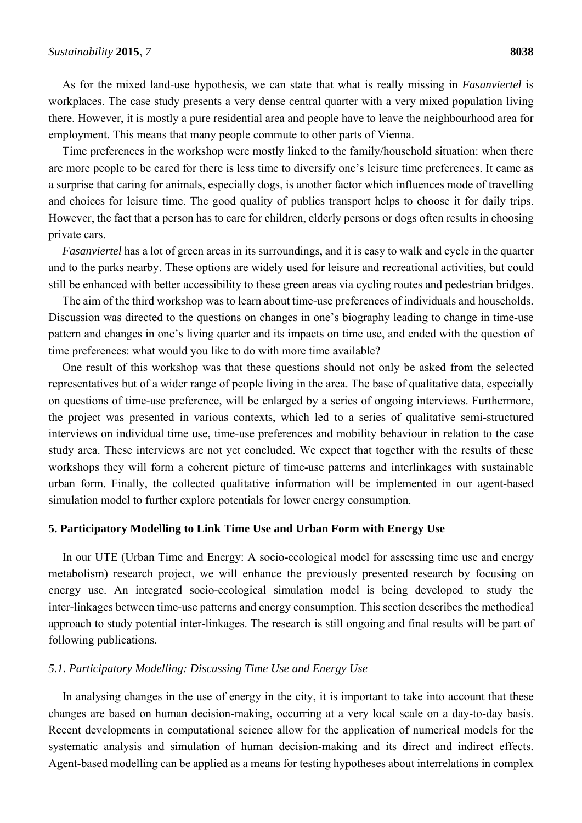As for the mixed land-use hypothesis, we can state that what is really missing in *Fasanviertel* is workplaces. The case study presents a very dense central quarter with a very mixed population living there. However, it is mostly a pure residential area and people have to leave the neighbourhood area for employment. This means that many people commute to other parts of Vienna.

Time preferences in the workshop were mostly linked to the family/household situation: when there are more people to be cared for there is less time to diversify one's leisure time preferences. It came as a surprise that caring for animals, especially dogs, is another factor which influences mode of travelling and choices for leisure time. The good quality of publics transport helps to choose it for daily trips. However, the fact that a person has to care for children, elderly persons or dogs often results in choosing private cars.

*Fasanviertel* has a lot of green areas in its surroundings, and it is easy to walk and cycle in the quarter and to the parks nearby. These options are widely used for leisure and recreational activities, but could still be enhanced with better accessibility to these green areas via cycling routes and pedestrian bridges.

The aim of the third workshop was to learn about time-use preferences of individuals and households. Discussion was directed to the questions on changes in one's biography leading to change in time-use pattern and changes in one's living quarter and its impacts on time use, and ended with the question of time preferences: what would you like to do with more time available?

One result of this workshop was that these questions should not only be asked from the selected representatives but of a wider range of people living in the area. The base of qualitative data, especially on questions of time-use preference, will be enlarged by a series of ongoing interviews. Furthermore, the project was presented in various contexts, which led to a series of qualitative semi-structured interviews on individual time use, time-use preferences and mobility behaviour in relation to the case study area. These interviews are not yet concluded. We expect that together with the results of these workshops they will form a coherent picture of time-use patterns and interlinkages with sustainable urban form. Finally, the collected qualitative information will be implemented in our agent-based simulation model to further explore potentials for lower energy consumption.

### **5. Participatory Modelling to Link Time Use and Urban Form with Energy Use**

In our UTE (Urban Time and Energy: A socio-ecological model for assessing time use and energy metabolism) research project, we will enhance the previously presented research by focusing on energy use. An integrated socio-ecological simulation model is being developed to study the inter-linkages between time-use patterns and energy consumption. This section describes the methodical approach to study potential inter-linkages. The research is still ongoing and final results will be part of following publications.

#### *5.1. Participatory Modelling: Discussing Time Use and Energy Use*

In analysing changes in the use of energy in the city, it is important to take into account that these changes are based on human decision-making, occurring at a very local scale on a day-to-day basis. Recent developments in computational science allow for the application of numerical models for the systematic analysis and simulation of human decision-making and its direct and indirect effects. Agent-based modelling can be applied as a means for testing hypotheses about interrelations in complex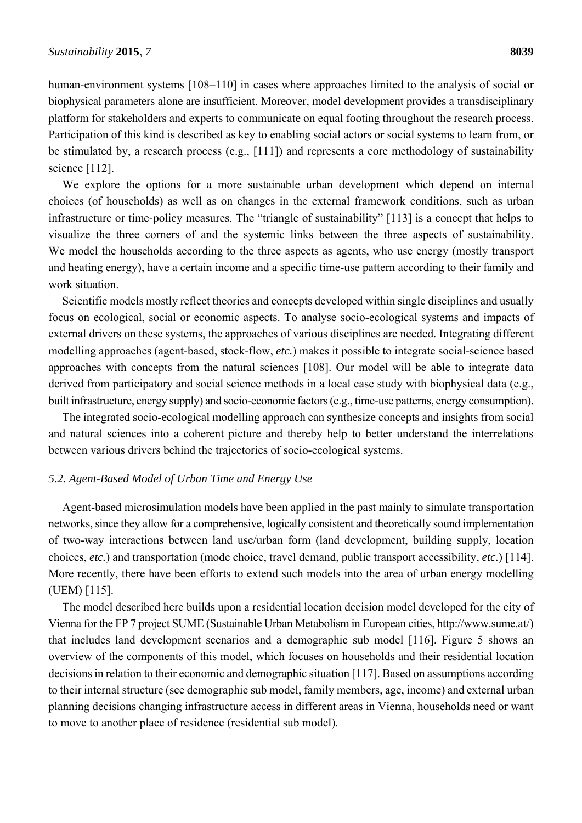human-environment systems [108–110] in cases where approaches limited to the analysis of social or biophysical parameters alone are insufficient. Moreover, model development provides a transdisciplinary platform for stakeholders and experts to communicate on equal footing throughout the research process. Participation of this kind is described as key to enabling social actors or social systems to learn from, or be stimulated by, a research process (e.g., [111]) and represents a core methodology of sustainability science [112].

We explore the options for a more sustainable urban development which depend on internal choices (of households) as well as on changes in the external framework conditions, such as urban infrastructure or time-policy measures. The "triangle of sustainability" [113] is a concept that helps to visualize the three corners of and the systemic links between the three aspects of sustainability. We model the households according to the three aspects as agents, who use energy (mostly transport and heating energy), have a certain income and a specific time-use pattern according to their family and work situation.

Scientific models mostly reflect theories and concepts developed within single disciplines and usually focus on ecological, social or economic aspects. To analyse socio-ecological systems and impacts of external drivers on these systems, the approaches of various disciplines are needed. Integrating different modelling approaches (agent-based, stock-flow, *etc.*) makes it possible to integrate social-science based approaches with concepts from the natural sciences [108]. Our model will be able to integrate data derived from participatory and social science methods in a local case study with biophysical data (e.g., built infrastructure, energy supply) and socio-economic factors (e.g., time-use patterns, energy consumption).

The integrated socio-ecological modelling approach can synthesize concepts and insights from social and natural sciences into a coherent picture and thereby help to better understand the interrelations between various drivers behind the trajectories of socio-ecological systems.

### *5.2. Agent-Based Model of Urban Time and Energy Use*

Agent-based microsimulation models have been applied in the past mainly to simulate transportation networks, since they allow for a comprehensive, logically consistent and theoretically sound implementation of two-way interactions between land use/urban form (land development, building supply, location choices, *etc.*) and transportation (mode choice, travel demand, public transport accessibility, *etc.*) [114]. More recently, there have been efforts to extend such models into the area of urban energy modelling (UEM) [115].

The model described here builds upon a residential location decision model developed for the city of Vienna for the FP 7 project SUME (Sustainable Urban Metabolism in European cities, http://www.sume.at/) that includes land development scenarios and a demographic sub model [116]. Figure 5 shows an overview of the components of this model, which focuses on households and their residential location decisions in relation to their economic and demographic situation [117]. Based on assumptions according to their internal structure (see demographic sub model, family members, age, income) and external urban planning decisions changing infrastructure access in different areas in Vienna, households need or want to move to another place of residence (residential sub model).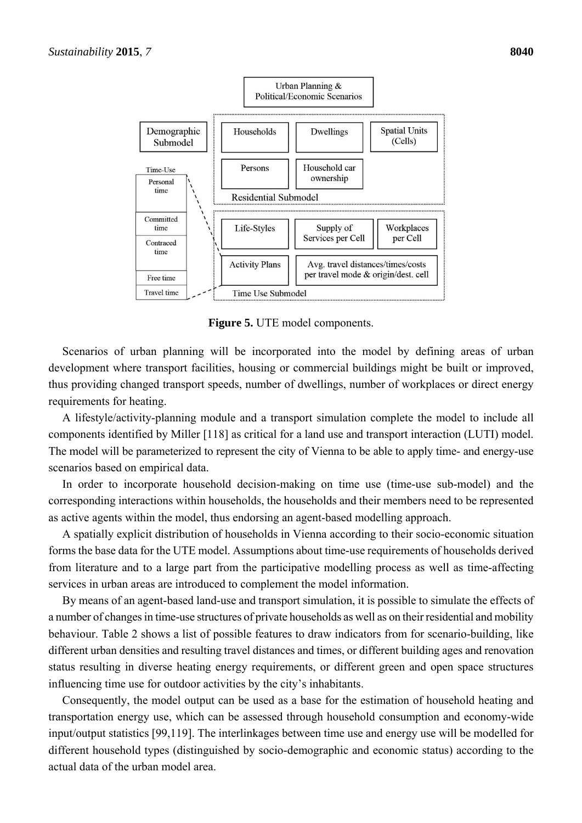

**Figure 5.** UTE model components.

Scenarios of urban planning will be incorporated into the model by defining areas of urban development where transport facilities, housing or commercial buildings might be built or improved, thus providing changed transport speeds, number of dwellings, number of workplaces or direct energy requirements for heating.

A lifestyle/activity-planning module and a transport simulation complete the model to include all components identified by Miller [118] as critical for a land use and transport interaction (LUTI) model. The model will be parameterized to represent the city of Vienna to be able to apply time- and energy-use scenarios based on empirical data.

In order to incorporate household decision-making on time use (time-use sub-model) and the corresponding interactions within households, the households and their members need to be represented as active agents within the model, thus endorsing an agent-based modelling approach.

A spatially explicit distribution of households in Vienna according to their socio-economic situation forms the base data for the UTE model. Assumptions about time-use requirements of households derived from literature and to a large part from the participative modelling process as well as time-affecting services in urban areas are introduced to complement the model information.

By means of an agent-based land-use and transport simulation, it is possible to simulate the effects of a number of changes in time-use structures of private households as well as on their residential and mobility behaviour. Table 2 shows a list of possible features to draw indicators from for scenario-building, like different urban densities and resulting travel distances and times, or different building ages and renovation status resulting in diverse heating energy requirements, or different green and open space structures influencing time use for outdoor activities by the city's inhabitants.

Consequently, the model output can be used as a base for the estimation of household heating and transportation energy use, which can be assessed through household consumption and economy-wide input/output statistics [99,119]. The interlinkages between time use and energy use will be modelled for different household types (distinguished by socio-demographic and economic status) according to the actual data of the urban model area.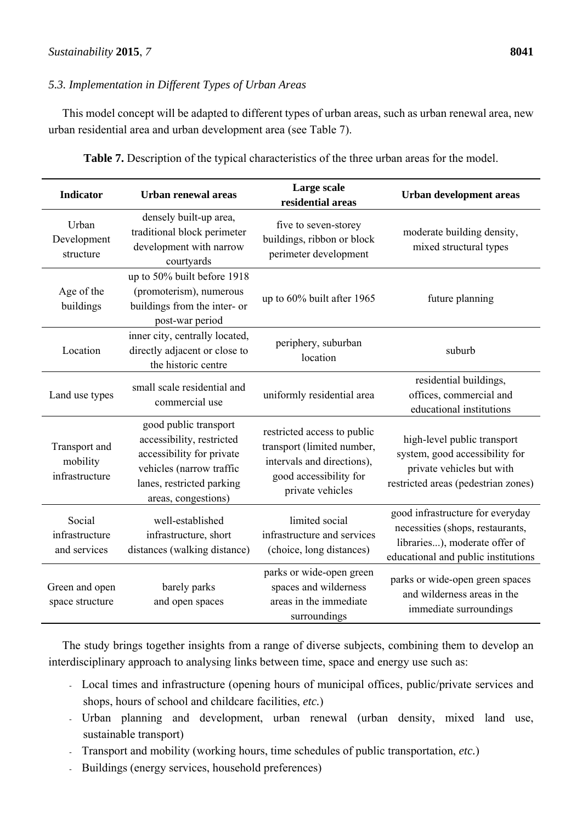# *5.3. Implementation in Different Types of Urban Areas*

This model concept will be adapted to different types of urban areas, such as urban renewal area, new urban residential area and urban development area (see Table 7).

| <b>Indicator</b>                            | <b>Urban renewal areas</b>                                                                                                                                      | Large scale<br>residential areas                                                                                                      | <b>Urban development areas</b>                                                                                                               |
|---------------------------------------------|-----------------------------------------------------------------------------------------------------------------------------------------------------------------|---------------------------------------------------------------------------------------------------------------------------------------|----------------------------------------------------------------------------------------------------------------------------------------------|
| Urban<br>Development<br>structure           | densely built-up area,<br>traditional block perimeter<br>development with narrow<br>courtyards                                                                  | five to seven-storey<br>buildings, ribbon or block<br>perimeter development                                                           | moderate building density,<br>mixed structural types                                                                                         |
| Age of the<br>buildings                     | up to 50% built before 1918<br>(promoterism), numerous<br>buildings from the inter- or<br>post-war period                                                       | up to 60% built after 1965                                                                                                            | future planning                                                                                                                              |
| Location                                    | inner city, centrally located,<br>directly adjacent or close to<br>the historic centre                                                                          | periphery, suburban<br>location                                                                                                       | suburb                                                                                                                                       |
| Land use types                              | small scale residential and<br>commercial use                                                                                                                   | uniformly residential area                                                                                                            | residential buildings,<br>offices, commercial and<br>educational institutions                                                                |
| Transport and<br>mobility<br>infrastructure | good public transport<br>accessibility, restricted<br>accessibility for private<br>vehicles (narrow traffic<br>lanes, restricted parking<br>areas, congestions) | restricted access to public<br>transport (limited number,<br>intervals and directions),<br>good accessibility for<br>private vehicles | high-level public transport<br>system, good accessibility for<br>private vehicles but with<br>restricted areas (pedestrian zones)            |
| Social<br>infrastructure<br>and services    | well-established<br>infrastructure, short<br>distances (walking distance)                                                                                       | limited social<br>infrastructure and services<br>(choice, long distances)                                                             | good infrastructure for everyday<br>necessities (shops, restaurants,<br>libraries), moderate offer of<br>educational and public institutions |
| Green and open<br>space structure           | barely parks<br>and open spaces                                                                                                                                 | parks or wide-open green<br>spaces and wilderness<br>areas in the immediate<br>surroundings                                           | parks or wide-open green spaces<br>and wilderness areas in the<br>immediate surroundings                                                     |

**Table 7.** Description of the typical characteristics of the three urban areas for the model.

The study brings together insights from a range of diverse subjects, combining them to develop an interdisciplinary approach to analysing links between time, space and energy use such as:

- Local times and infrastructure (opening hours of municipal offices, public/private services and shops, hours of school and childcare facilities, *etc.*)
- Urban planning and development, urban renewal (urban density, mixed land use, sustainable transport)
- Transport and mobility (working hours, time schedules of public transportation, *etc.*)
- Buildings (energy services, household preferences)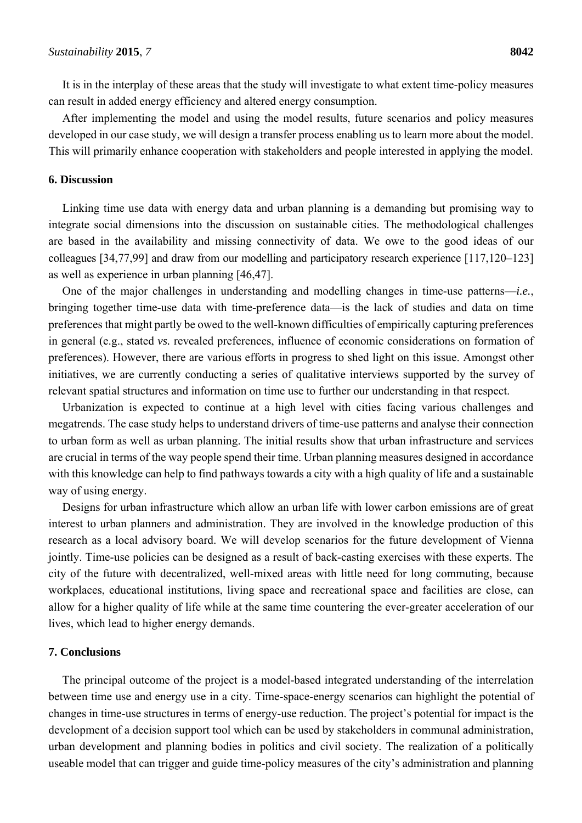It is in the interplay of these areas that the study will investigate to what extent time-policy measures can result in added energy efficiency and altered energy consumption.

After implementing the model and using the model results, future scenarios and policy measures developed in our case study, we will design a transfer process enabling us to learn more about the model. This will primarily enhance cooperation with stakeholders and people interested in applying the model.

## **6. Discussion**

Linking time use data with energy data and urban planning is a demanding but promising way to integrate social dimensions into the discussion on sustainable cities. The methodological challenges are based in the availability and missing connectivity of data. We owe to the good ideas of our colleagues [34,77,99] and draw from our modelling and participatory research experience [117,120–123] as well as experience in urban planning [46,47].

One of the major challenges in understanding and modelling changes in time-use patterns—*i.e.*, bringing together time-use data with time-preference data—is the lack of studies and data on time preferences that might partly be owed to the well-known difficulties of empirically capturing preferences in general (e.g., stated *vs.* revealed preferences, influence of economic considerations on formation of preferences). However, there are various efforts in progress to shed light on this issue. Amongst other initiatives, we are currently conducting a series of qualitative interviews supported by the survey of relevant spatial structures and information on time use to further our understanding in that respect.

Urbanization is expected to continue at a high level with cities facing various challenges and megatrends. The case study helps to understand drivers of time-use patterns and analyse their connection to urban form as well as urban planning. The initial results show that urban infrastructure and services are crucial in terms of the way people spend their time. Urban planning measures designed in accordance with this knowledge can help to find pathways towards a city with a high quality of life and a sustainable way of using energy.

Designs for urban infrastructure which allow an urban life with lower carbon emissions are of great interest to urban planners and administration. They are involved in the knowledge production of this research as a local advisory board. We will develop scenarios for the future development of Vienna jointly. Time-use policies can be designed as a result of back-casting exercises with these experts. The city of the future with decentralized, well-mixed areas with little need for long commuting, because workplaces, educational institutions, living space and recreational space and facilities are close, can allow for a higher quality of life while at the same time countering the ever-greater acceleration of our lives, which lead to higher energy demands.

#### **7. Conclusions**

The principal outcome of the project is a model-based integrated understanding of the interrelation between time use and energy use in a city. Time-space-energy scenarios can highlight the potential of changes in time-use structures in terms of energy-use reduction. The project's potential for impact is the development of a decision support tool which can be used by stakeholders in communal administration, urban development and planning bodies in politics and civil society. The realization of a politically useable model that can trigger and guide time-policy measures of the city's administration and planning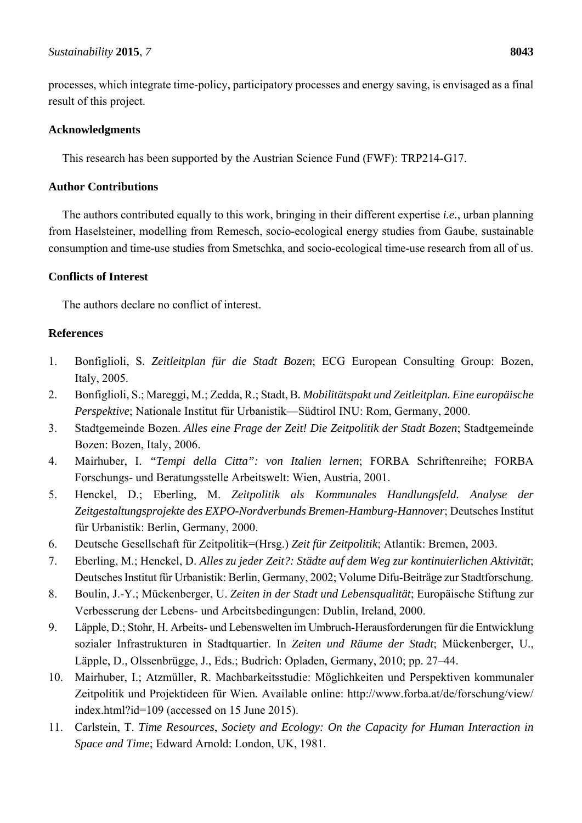processes, which integrate time-policy, participatory processes and energy saving, is envisaged as a final result of this project.

# **Acknowledgments**

This research has been supported by the Austrian Science Fund (FWF): TRP214-G17.

# **Author Contributions**

The authors contributed equally to this work, bringing in their different expertise *i.e.*, urban planning from Haselsteiner, modelling from Remesch, socio-ecological energy studies from Gaube, sustainable consumption and time-use studies from Smetschka, and socio-ecological time-use research from all of us.

# **Conflicts of Interest**

The authors declare no conflict of interest.

# **References**

- 1. Bonfiglioli, S. *Zeitleitplan für die Stadt Bozen*; ECG European Consulting Group: Bozen, Italy, 2005.
- 2. Bonfiglioli, S.; Mareggi, M.; Zedda, R.; Stadt, B*. Mobilitätspakt und Zeitleitplan. Eine europäische Perspektive*; Nationale Institut für Urbanistik—Südtirol INU: Rom, Germany, 2000.
- 3. Stadtgemeinde Bozen. *Alles eine Frage der Zeit! Die Zeitpolitik der Stadt Bozen*; Stadtgemeinde Bozen: Bozen, Italy, 2006.
- 4. Mairhuber, I. *"Tempi della Citta": von Italien lernen*; FORBA Schriftenreihe; FORBA Forschungs- und Beratungsstelle Arbeitswelt: Wien, Austria, 2001.
- 5. Henckel, D.; Eberling, M. *Zeitpolitik als Kommunales Handlungsfeld. Analyse der Zeitgestaltungsprojekte des EXPO-Nordverbunds Bremen-Hamburg-Hannover*; Deutsches Institut für Urbanistik: Berlin, Germany, 2000.
- 6. Deutsche Gesellschaft für Zeitpolitik=(Hrsg.) *Zeit für Zeitpolitik*; Atlantik: Bremen, 2003.
- 7. Eberling, M.; Henckel, D. *Alles zu jeder Zeit?: Städte auf dem Weg zur kontinuierlichen Aktivität*; Deutsches Institut für Urbanistik: Berlin, Germany, 2002; Volume Difu-Beiträge zur Stadtforschung.
- 8. Boulin, J.-Y.; Mückenberger, U. *Zeiten in der Stadt und Lebensqualität*; Europäische Stiftung zur Verbesserung der Lebens- und Arbeitsbedingungen: Dublin, Ireland, 2000.
- 9. Läpple, D.; Stohr, H. Arbeits- und Lebenswelten im Umbruch-Herausforderungen für die Entwicklung sozialer Infrastrukturen in Stadtquartier. In *Zeiten und Räume der Stadt*; Mückenberger, U., Läpple, D., Olssenbrügge, J., Eds.; Budrich: Opladen, Germany, 2010; pp. 27–44.
- 10. Mairhuber, I.; Atzmüller, R. Machbarkeitsstudie: Möglichkeiten und Perspektiven kommunaler Zeitpolitik und Projektideen für Wien*.* Available online: http://www.forba.at/de/forschung/view/ index.html?id=109 (accessed on 15 June 2015).
- 11. Carlstein, T. *Time Resources*, *Society and Ecology: On the Capacity for Human Interaction in Space and Time*; Edward Arnold: London, UK, 1981.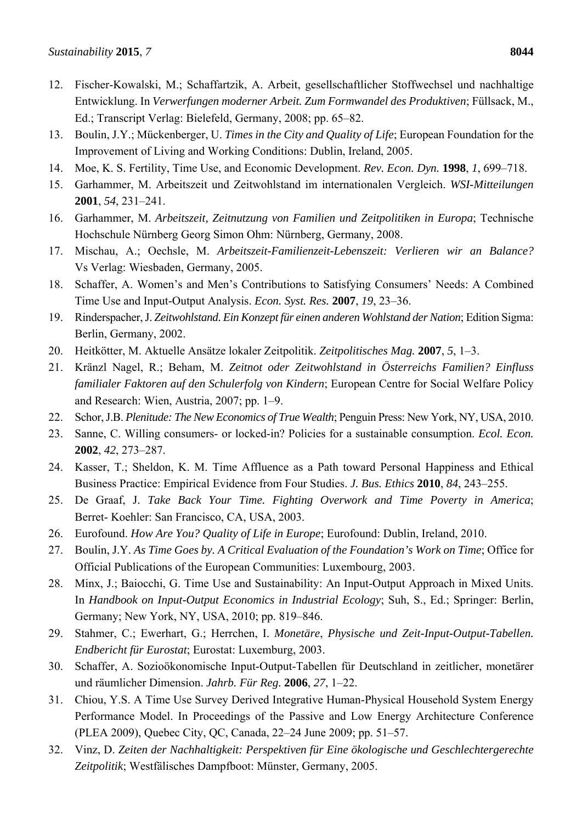- 12. Fischer-Kowalski, M.; Schaffartzik, A. Arbeit, gesellschaftlicher Stoffwechsel und nachhaltige Entwicklung. In *Verwerfungen moderner Arbeit. Zum Formwandel des Produktiven*; Füllsack, M., Ed.; Transcript Verlag: Bielefeld, Germany, 2008; pp. 65–82.
- 13. Boulin, J.Y.; Mückenberger, U. *Times in the City and Quality of Life*; European Foundation for the Improvement of Living and Working Conditions: Dublin, Ireland, 2005.
- 14. Moe, K. S. Fertility, Time Use, and Economic Development. *Rev. Econ. Dyn.* **1998**, *1*, 699–718.
- 15. Garhammer, M. Arbeitszeit und Zeitwohlstand im internationalen Vergleich. *WSI-Mitteilungen* **2001**, *54*, 231–241.
- 16. Garhammer, M. *Arbeitszeit, Zeitnutzung von Familien und Zeitpolitiken in Europa*; Technische Hochschule Nürnberg Georg Simon Ohm: Nürnberg, Germany, 2008.
- 17. Mischau, A.; Oechsle, M. *Arbeitszeit-Familienzeit-Lebenszeit: Verlieren wir an Balance?* Vs Verlag: Wiesbaden, Germany, 2005.
- 18. Schaffer, A. Women's and Men's Contributions to Satisfying Consumers' Needs: A Combined Time Use and Input-Output Analysis. *Econ. Syst. Res.* **2007**, *19*, 23–36.
- 19. Rinderspacher, J. *Zeitwohlstand. Ein Konzept für einen anderen Wohlstand der Nation*; Edition Sigma: Berlin, Germany, 2002.
- 20. Heitkötter, M. Aktuelle Ansätze lokaler Zeitpolitik. *Zeitpolitisches Mag.* **2007**, *5*, 1–3.
- 21. Kränzl Nagel, R.; Beham, M. *Zeitnot oder Zeitwohlstand in Österreichs Familien? Einfluss familialer Faktoren auf den Schulerfolg von Kindern*; European Centre for Social Welfare Policy and Research: Wien, Austria, 2007; pp. 1–9.
- 22. Schor, J.B. *Plenitude: The New Economics of True Wealth*; Penguin Press: New York, NY, USA, 2010.
- 23. Sanne, C. Willing consumers- or locked-in? Policies for a sustainable consumption. *Ecol. Econ.* **2002**, *42*, 273–287.
- 24. Kasser, T.; Sheldon, K. M. Time Affluence as a Path toward Personal Happiness and Ethical Business Practice: Empirical Evidence from Four Studies. *J. Bus. Ethics* **2010**, *84*, 243–255.
- 25. De Graaf, J. *Take Back Your Time. Fighting Overwork and Time Poverty in America*; Berret- Koehler: San Francisco, CA, USA, 2003.
- 26. Eurofound. *How Are You? Quality of Life in Europe*; Eurofound: Dublin, Ireland, 2010.
- 27. Boulin, J.Y. *As Time Goes by. A Critical Evaluation of the Foundation's Work on Time*; Office for Official Publications of the European Communities: Luxembourg, 2003.
- 28. Minx, J.; Baiocchi, G. Time Use and Sustainability: An Input-Output Approach in Mixed Units. In *Handbook on Input-Output Economics in Industrial Ecology*; Suh, S., Ed.; Springer: Berlin, Germany; New York, NY, USA, 2010; pp. 819–846.
- 29. Stahmer, C.; Ewerhart, G.; Herrchen, I. *Monetäre*, *Physische und Zeit-Input-Output-Tabellen. Endbericht für Eurostat*; Eurostat: Luxemburg, 2003.
- 30. Schaffer, A. Sozioökonomische Input-Output-Tabellen für Deutschland in zeitlicher, monetärer und räumlicher Dimension. *Jahrb. Für Reg.* **2006**, *27*, 1–22.
- 31. Chiou, Y.S. A Time Use Survey Derived Integrative Human-Physical Household System Energy Performance Model. In Proceedings of the Passive and Low Energy Architecture Conference (PLEA 2009), Quebec City, QC, Canada, 22–24 June 2009; pp. 51–57.
- 32. Vinz, D. *Zeiten der Nachhaltigkeit: Perspektiven für Eine ökologische und Geschlechtergerechte Zeitpolitik*; Westfälisches Dampfboot: Münster, Germany, 2005.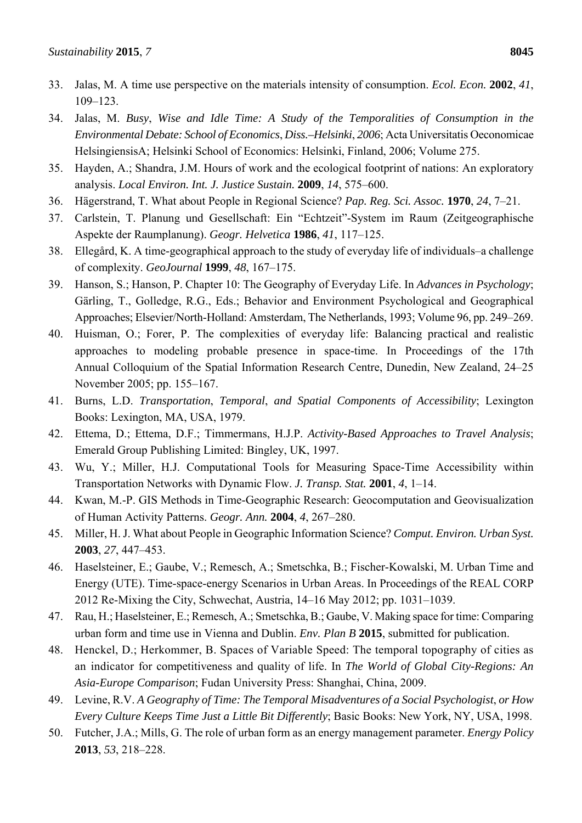- 34. Jalas, M. *Busy*, *Wise and Idle Time: A Study of the Temporalities of Consumption in the Environmental Debate: School of Economics*, *Diss.–Helsinki*, *2006*; Acta Universitatis Oeconomicae HelsingiensisA; Helsinki School of Economics: Helsinki, Finland, 2006; Volume 275.
- 35. Hayden, A.; Shandra, J.M. Hours of work and the ecological footprint of nations: An exploratory analysis. *Local Environ. Int. J. Justice Sustain.* **2009**, *14*, 575–600.
- 36. Hägerstrand, T. What about People in Regional Science? *Pap. Reg. Sci. Assoc.* **1970**, *24*, 7–21.
- 37. Carlstein, T. Planung und Gesellschaft: Ein "Echtzeit"-System im Raum (Zeitgeographische Aspekte der Raumplanung). *Geogr. Helvetica* **1986**, *41*, 117–125.
- 38. Ellegård, K. A time-geographical approach to the study of everyday life of individuals–a challenge of complexity. *GeoJournal* **1999**, *48*, 167–175.
- 39. Hanson, S.; Hanson, P. Chapter 10: The Geography of Everyday Life. In *Advances in Psychology*; Gärling, T., Golledge, R.G., Eds.; Behavior and Environment Psychological and Geographical Approaches; Elsevier/North-Holland: Amsterdam, The Netherlands, 1993; Volume 96, pp. 249–269.
- 40. Huisman, O.; Forer, P. The complexities of everyday life: Balancing practical and realistic approaches to modeling probable presence in space-time. In Proceedings of the 17th Annual Colloquium of the Spatial Information Research Centre, Dunedin, New Zealand, 24–25 November 2005; pp. 155–167.
- 41. Burns, L.D. *Transportation*, *Temporal*, *and Spatial Components of Accessibility*; Lexington Books: Lexington, MA, USA, 1979.
- 42. Ettema, D.; Ettema, D.F.; Timmermans, H.J.P. *Activity-Based Approaches to Travel Analysis*; Emerald Group Publishing Limited: Bingley, UK, 1997.
- 43. Wu, Y.; Miller, H.J. Computational Tools for Measuring Space-Time Accessibility within Transportation Networks with Dynamic Flow. *J. Transp. Stat.* **2001**, *4*, 1–14.
- 44. Kwan, M.-P. GIS Methods in Time-Geographic Research: Geocomputation and Geovisualization of Human Activity Patterns. *Geogr. Ann.* **2004**, *4*, 267–280.
- 45. Miller, H. J. What about People in Geographic Information Science? *Comput. Environ. Urban Syst.* **2003**, *27*, 447–453.
- 46. Haselsteiner, E.; Gaube, V.; Remesch, A.; Smetschka, B.; Fischer-Kowalski, M. Urban Time and Energy (UTE). Time-space-energy Scenarios in Urban Areas. In Proceedings of the REAL CORP 2012 Re-Mixing the City, Schwechat, Austria, 14–16 May 2012; pp. 1031–1039.
- 47. Rau, H.; Haselsteiner, E.; Remesch, A.; Smetschka, B.; Gaube, V. Making space for time: Comparing urban form and time use in Vienna and Dublin. *Env. Plan B* **2015**, submitted for publication.
- 48. Henckel, D.; Herkommer, B. Spaces of Variable Speed: The temporal topography of cities as an indicator for competitiveness and quality of life. In *The World of Global City-Regions: An Asia-Europe Comparison*; Fudan University Press: Shanghai, China, 2009.
- 49. Levine, R.V. *A Geography of Time: The Temporal Misadventures of a Social Psychologist*, *or How Every Culture Keeps Time Just a Little Bit Differently*; Basic Books: New York, NY, USA, 1998.
- 50. Futcher, J.A.; Mills, G. The role of urban form as an energy management parameter. *Energy Policy* **2013**, *53*, 218–228.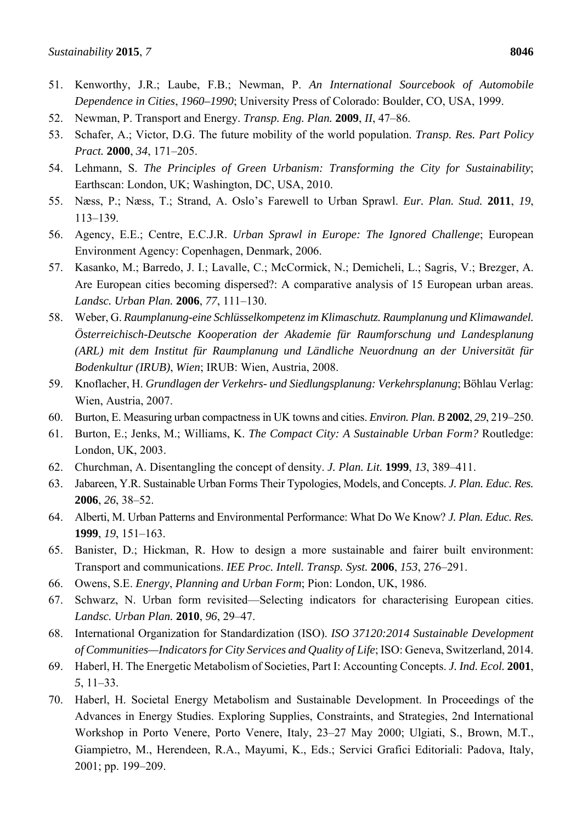- 51. Kenworthy, J.R.; Laube, F.B.; Newman, P. *An International Sourcebook of Automobile Dependence in Cities*, *1960–1990*; University Press of Colorado: Boulder, CO, USA, 1999.
- 52. Newman, P. Transport and Energy. *Transp. Eng. Plan.* **2009**, *II*, 47–86.
- 53. Schafer, A.; Victor, D.G. The future mobility of the world population. *Transp. Res. Part Policy Pract.* **2000**, *34*, 171–205.
- 54. Lehmann, S. *The Principles of Green Urbanism: Transforming the City for Sustainability*; Earthscan: London, UK; Washington, DC, USA, 2010.
- 55. Næss, P.; Næss, T.; Strand, A. Oslo's Farewell to Urban Sprawl. *Eur. Plan. Stud.* **2011**, *19*, 113–139.
- 56. Agency, E.E.; Centre, E.C.J.R. *Urban Sprawl in Europe: The Ignored Challenge*; European Environment Agency: Copenhagen, Denmark, 2006.
- 57. Kasanko, M.; Barredo, J. I.; Lavalle, C.; McCormick, N.; Demicheli, L.; Sagris, V.; Brezger, A. Are European cities becoming dispersed?: A comparative analysis of 15 European urban areas. *Landsc. Urban Plan.* **2006**, *77*, 111–130.
- 58. Weber, G. *Raumplanung-eine Schlüsselkompetenz im Klimaschutz. Raumplanung und Klimawandel. Österreichisch-Deutsche Kooperation der Akademie für Raumforschung und Landesplanung (ARL) mit dem Institut für Raumplanung und Ländliche Neuordnung an der Universität für Bodenkultur (IRUB)*, *Wien*; IRUB: Wien, Austria, 2008.
- 59. Knoflacher, H. *Grundlagen der Verkehrs- und Siedlungsplanung: Verkehrsplanung*; Böhlau Verlag: Wien, Austria, 2007.
- 60. Burton, E. Measuring urban compactness in UK towns and cities. *Environ. Plan. B* **2002**, *29*, 219–250.
- 61. Burton, E.; Jenks, M.; Williams, K. *The Compact City: A Sustainable Urban Form?* Routledge: London, UK, 2003.
- 62. Churchman, A. Disentangling the concept of density. *J. Plan. Lit.* **1999**, *13*, 389–411.
- 63. Jabareen, Y.R. Sustainable Urban Forms Their Typologies, Models, and Concepts. *J. Plan. Educ. Res.* **2006**, *26*, 38–52.
- 64. Alberti, M. Urban Patterns and Environmental Performance: What Do We Know? *J. Plan. Educ. Res.* **1999**, *19*, 151–163.
- 65. Banister, D.; Hickman, R. How to design a more sustainable and fairer built environment: Transport and communications. *IEE Proc. Intell. Transp. Syst.* **2006**, *153*, 276–291.
- 66. Owens, S.E. *Energy*, *Planning and Urban Form*; Pion: London, UK, 1986.
- 67. Schwarz, N. Urban form revisited—Selecting indicators for characterising European cities. *Landsc. Urban Plan.* **2010**, *96*, 29–47.
- 68. International Organization for Standardization (ISO). *ISO 37120:2014 Sustainable Development of Communities—Indicators for City Services and Quality of Life*; ISO: Geneva, Switzerland, 2014.
- 69. Haberl, H. The Energetic Metabolism of Societies, Part I: Accounting Concepts. *J. Ind. Ecol.* **2001**, *5*, 11–33.
- 70. Haberl, H. Societal Energy Metabolism and Sustainable Development. In Proceedings of the Advances in Energy Studies. Exploring Supplies, Constraints, and Strategies, 2nd International Workshop in Porto Venere, Porto Venere, Italy, 23–27 May 2000; Ulgiati, S., Brown, M.T., Giampietro, M., Herendeen, R.A., Mayumi, K., Eds.; Servici Grafici Editoriali: Padova, Italy, 2001; pp. 199–209.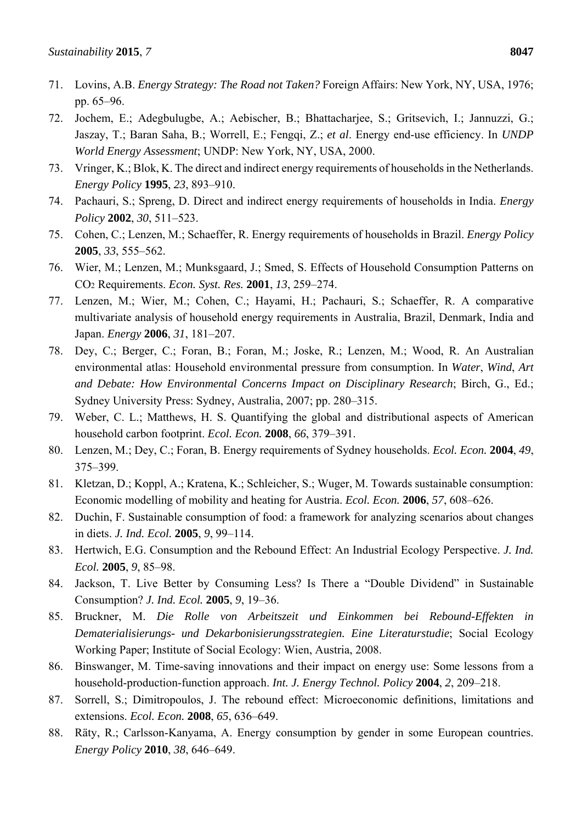- 71. Lovins, A.B. *Energy Strategy: The Road not Taken?* Foreign Affairs: New York, NY, USA, 1976; pp. 65–96.
- 72. Jochem, E.; Adegbulugbe, A.; Aebischer, B.; Bhattacharjee, S.; Gritsevich, I.; Jannuzzi, G.; Jaszay, T.; Baran Saha, B.; Worrell, E.; Fengqi, Z.; *et al*. Energy end-use efficiency. In *UNDP World Energy Assessment*; UNDP: New York, NY, USA, 2000.
- 73. Vringer, K.; Blok, K. The direct and indirect energy requirements of households in the Netherlands. *Energy Policy* **1995**, *23*, 893–910.
- 74. Pachauri, S.; Spreng, D. Direct and indirect energy requirements of households in India. *Energy Policy* **2002**, *30*, 511–523.
- 75. Cohen, C.; Lenzen, M.; Schaeffer, R. Energy requirements of households in Brazil. *Energy Policy* **2005**, *33*, 555–562.
- 76. Wier, M.; Lenzen, M.; Munksgaard, J.; Smed, S. Effects of Household Consumption Patterns on CO2 Requirements. *Econ. Syst. Res.* **2001**, *13*, 259–274.
- 77. Lenzen, M.; Wier, M.; Cohen, C.; Hayami, H.; Pachauri, S.; Schaeffer, R. A comparative multivariate analysis of household energy requirements in Australia, Brazil, Denmark, India and Japan. *Energy* **2006**, *31*, 181–207.
- 78. Dey, C.; Berger, C.; Foran, B.; Foran, M.; Joske, R.; Lenzen, M.; Wood, R. An Australian environmental atlas: Household environmental pressure from consumption. In *Water*, *Wind*, *Art and Debate: How Environmental Concerns Impact on Disciplinary Research*; Birch, G., Ed.; Sydney University Press: Sydney, Australia, 2007; pp. 280–315.
- 79. Weber, C. L.; Matthews, H. S. Quantifying the global and distributional aspects of American household carbon footprint. *Ecol. Econ.* **2008**, *66*, 379–391.
- 80. Lenzen, M.; Dey, C.; Foran, B. Energy requirements of Sydney households. *Ecol. Econ.* **2004**, *49*, 375–399.
- 81. Kletzan, D.; Koppl, A.; Kratena, K.; Schleicher, S.; Wuger, M. Towards sustainable consumption: Economic modelling of mobility and heating for Austria. *Ecol. Econ.* **2006**, *57*, 608–626.
- 82. Duchin, F. Sustainable consumption of food: a framework for analyzing scenarios about changes in diets. *J. Ind. Ecol.* **2005**, *9*, 99–114.
- 83. Hertwich, E.G. Consumption and the Rebound Effect: An Industrial Ecology Perspective. *J. Ind. Ecol.* **2005**, *9*, 85–98.
- 84. Jackson, T. Live Better by Consuming Less? Is There a "Double Dividend" in Sustainable Consumption? *J. Ind. Ecol.* **2005**, *9*, 19–36.
- 85. Bruckner, M. *Die Rolle von Arbeitszeit und Einkommen bei Rebound-Effekten in Dematerialisierungs- und Dekarbonisierungsstrategien. Eine Literaturstudie*; Social Ecology Working Paper; Institute of Social Ecology: Wien, Austria, 2008.
- 86. Binswanger, M. Time-saving innovations and their impact on energy use: Some lessons from a household-production-function approach. *Int. J. Energy Technol. Policy* **2004**, *2*, 209–218.
- 87. Sorrell, S.; Dimitropoulos, J. The rebound effect: Microeconomic definitions, limitations and extensions. *Ecol. Econ.* **2008**, *65*, 636–649.
- 88. Räty, R.; Carlsson-Kanyama, A. Energy consumption by gender in some European countries. *Energy Policy* **2010**, *38*, 646–649.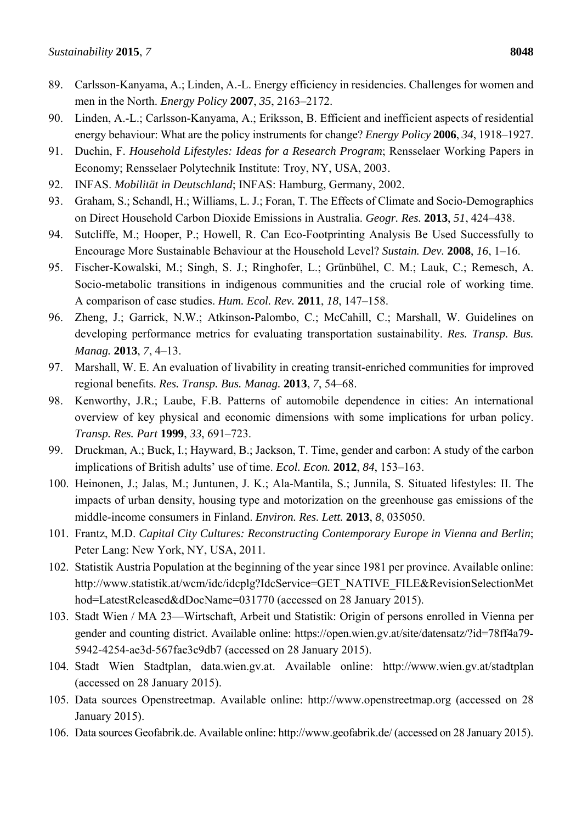- 89. Carlsson-Kanyama, A.; Linden, A.-L. Energy efficiency in residencies. Challenges for women and men in the North. *Energy Policy* **2007**, *35*, 2163–2172.
- 90. Linden, A.-L.; Carlsson-Kanyama, A.; Eriksson, B. Efficient and inefficient aspects of residential energy behaviour: What are the policy instruments for change? *Energy Policy* **2006**, *34*, 1918–1927.
- 91. Duchin, F. *Household Lifestyles: Ideas for a Research Program*; Rensselaer Working Papers in Economy; Rensselaer Polytechnik Institute: Troy, NY, USA, 2003.
- 92. INFAS. *Mobilität in Deutschland*; INFAS: Hamburg, Germany, 2002.
- 93. Graham, S.; Schandl, H.; Williams, L. J.; Foran, T. The Effects of Climate and Socio-Demographics on Direct Household Carbon Dioxide Emissions in Australia. *Geogr. Res.* **2013**, *51*, 424–438.
- 94. Sutcliffe, M.; Hooper, P.; Howell, R. Can Eco-Footprinting Analysis Be Used Successfully to Encourage More Sustainable Behaviour at the Household Level? *Sustain. Dev.* **2008**, *16*, 1–16.
- 95. Fischer-Kowalski, M.; Singh, S. J.; Ringhofer, L.; Grünbühel, C. M.; Lauk, C.; Remesch, A. Socio-metabolic transitions in indigenous communities and the crucial role of working time. A comparison of case studies. *Hum. Ecol. Rev.* **2011**, *18*, 147–158.
- 96. Zheng, J.; Garrick, N.W.; Atkinson-Palombo, C.; McCahill, C.; Marshall, W. Guidelines on developing performance metrics for evaluating transportation sustainability. *Res. Transp. Bus. Manag.* **2013**, *7*, 4–13.
- 97. Marshall, W. E. An evaluation of livability in creating transit-enriched communities for improved regional benefits. *Res. Transp. Bus. Manag.* **2013**, *7*, 54–68.
- 98. Kenworthy, J.R.; Laube, F.B. Patterns of automobile dependence in cities: An international overview of key physical and economic dimensions with some implications for urban policy. *Transp. Res. Part* **1999**, *33*, 691–723.
- 99. Druckman, A.; Buck, I.; Hayward, B.; Jackson, T. Time, gender and carbon: A study of the carbon implications of British adults' use of time. *Ecol. Econ.* **2012**, *84*, 153–163.
- 100. Heinonen, J.; Jalas, M.; Juntunen, J. K.; Ala-Mantila, S.; Junnila, S. Situated lifestyles: II. The impacts of urban density, housing type and motorization on the greenhouse gas emissions of the middle-income consumers in Finland. *Environ. Res. Lett.* **2013**, *8*, 035050.
- 101. Frantz, M.D. *Capital City Cultures: Reconstructing Contemporary Europe in Vienna and Berlin*; Peter Lang: New York, NY, USA, 2011.
- 102. Statistik Austria Population at the beginning of the year since 1981 per province. Available online: http://www.statistik.at/wcm/idc/idcplg?IdcService=GET\_NATIVE\_FILE&RevisionSelectionMet hod=LatestReleased&dDocName=031770 (accessed on 28 January 2015).
- 103. Stadt Wien / MA 23—Wirtschaft, Arbeit und Statistik: Origin of persons enrolled in Vienna per gender and counting district. Available online: https://open.wien.gv.at/site/datensatz/?id=78ff4a79- 5942-4254-ae3d-567fae3c9db7 (accessed on 28 January 2015).
- 104. Stadt Wien Stadtplan, data.wien.gv.at. Available online: http://www.wien.gv.at/stadtplan (accessed on 28 January 2015).
- 105. Data sources Openstreetmap. Available online: http://www.openstreetmap.org (accessed on 28 January 2015).
- 106. Data sources Geofabrik.de. Available online: http://www.geofabrik.de/ (accessed on 28 January 2015).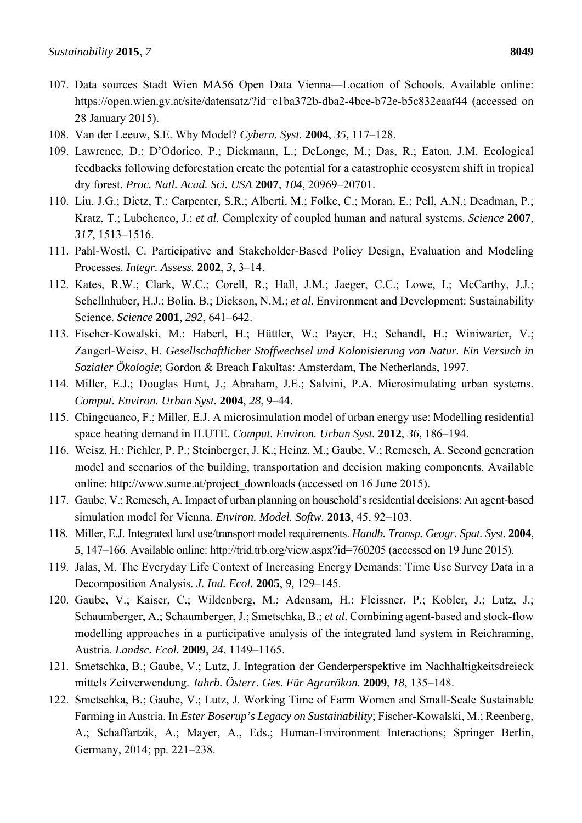- 107. Data sources Stadt Wien MA56 Open Data Vienna—Location of Schools. Available online: https://open.wien.gv.at/site/datensatz/?id=c1ba372b-dba2-4bce-b72e-b5c832eaaf44 (accessed on 28 January 2015).
- 108. Van der Leeuw, S.E. Why Model? *Cybern. Syst.* **2004**, *35*, 117–128.
- 109. Lawrence, D.; D'Odorico, P.; Diekmann, L.; DeLonge, M.; Das, R.; Eaton, J.M. Ecological feedbacks following deforestation create the potential for a catastrophic ecosystem shift in tropical dry forest. *Proc. Natl. Acad. Sci. USA* **2007**, *104*, 20969–20701.
- 110. Liu, J.G.; Dietz, T.; Carpenter, S.R.; Alberti, M.; Folke, C.; Moran, E.; Pell, A.N.; Deadman, P.; Kratz, T.; Lubchenco, J.; *et al*. Complexity of coupled human and natural systems. *Science* **2007**, *317*, 1513–1516.
- 111. Pahl-Wostl, C. Participative and Stakeholder-Based Policy Design, Evaluation and Modeling Processes. *Integr. Assess.* **2002**, *3*, 3–14.
- 112. Kates, R.W.; Clark, W.C.; Corell, R.; Hall, J.M.; Jaeger, C.C.; Lowe, I.; McCarthy, J.J.; Schellnhuber, H.J.; Bolin, B.; Dickson, N.M.; *et al*. Environment and Development: Sustainability Science. *Science* **2001**, *292*, 641–642.
- 113. Fischer-Kowalski, M.; Haberl, H.; Hüttler, W.; Payer, H.; Schandl, H.; Winiwarter, V.; Zangerl-Weisz, H. *Gesellschaftlicher Stoffwechsel und Kolonisierung von Natur. Ein Versuch in Sozialer Ökologie*; Gordon & Breach Fakultas: Amsterdam, The Netherlands, 1997.
- 114. Miller, E.J.; Douglas Hunt, J.; Abraham, J.E.; Salvini, P.A. Microsimulating urban systems. *Comput. Environ. Urban Syst.* **2004**, *28*, 9–44.
- 115. Chingcuanco, F.; Miller, E.J. A microsimulation model of urban energy use: Modelling residential space heating demand in ILUTE. *Comput. Environ. Urban Syst.* **2012**, *36*, 186–194.
- 116. Weisz, H.; Pichler, P. P.; Steinberger, J. K.; Heinz, M.; Gaube, V.; Remesch, A. Second generation model and scenarios of the building, transportation and decision making components. Available online: http://www.sume.at/project\_downloads (accessed on 16 June 2015).
- 117. Gaube, V.; Remesch, A. Impact of urban planning on household's residential decisions: An agent-based simulation model for Vienna. *Environ. Model. Softw.* **2013**, 45, 92–103.
- 118. Miller, E.J. Integrated land use/transport model requirements. *Handb. Transp. Geogr. Spat. Syst*. **2004**, *5*, 147–166. Available online: http://trid.trb.org/view.aspx?id=760205 (accessed on 19 June 2015).
- 119. Jalas, M. The Everyday Life Context of Increasing Energy Demands: Time Use Survey Data in a Decomposition Analysis. *J. Ind. Ecol.* **2005**, *9*, 129–145.
- 120. Gaube, V.; Kaiser, C.; Wildenberg, M.; Adensam, H.; Fleissner, P.; Kobler, J.; Lutz, J.; Schaumberger, A.; Schaumberger, J.; Smetschka, B.; *et al*. Combining agent-based and stock-flow modelling approaches in a participative analysis of the integrated land system in Reichraming, Austria. *Landsc. Ecol.* **2009**, *24*, 1149–1165.
- 121. Smetschka, B.; Gaube, V.; Lutz, J. Integration der Genderperspektive im Nachhaltigkeitsdreieck mittels Zeitverwendung. *Jahrb. Österr. Ges. Für Agrarökon.* **2009**, *18*, 135–148.
- 122. Smetschka, B.; Gaube, V.; Lutz, J. Working Time of Farm Women and Small-Scale Sustainable Farming in Austria. In *Ester Boserup's Legacy on Sustainability*; Fischer-Kowalski, M.; Reenberg, A.; Schaffartzik, A.; Mayer, A., Eds.; Human-Environment Interactions; Springer Berlin, Germany, 2014; pp. 221–238.